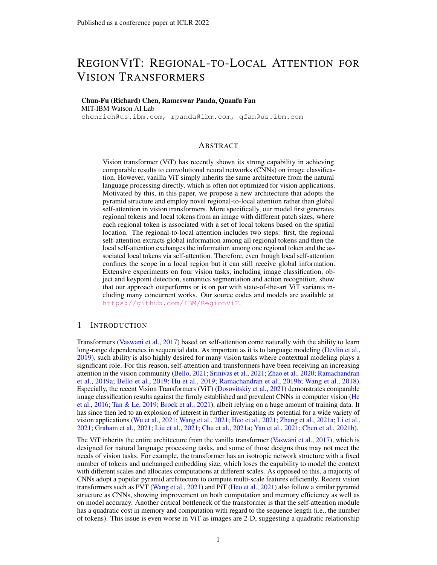# REGIONVIT: REGIONAL-TO-LOCAL ATTENTION FOR VISION TRANSFORMERS

# Chun-Fu (Richard) Chen, Rameswar Panda, Quanfu Fan MIT-IBM Watson AI Lab

chenrich@us.ibm.com, rpanda@ibm.com, qfan@us.ibm.com

### ABSTRACT

Vision transformer (ViT) has recently shown its strong capability in achieving comparable results to convolutional neural networks (CNNs) on image classification. However, vanilla ViT simply inherits the same architecture from the natural language processing directly, which is often not optimized for vision applications. Motivated by this, in this paper, we propose a new architecture that adopts the pyramid structure and employ novel regional-to-local attention rather than global self-attention in vision transformers. More specifically, our model first generates regional tokens and local tokens from an image with different patch sizes, where each regional token is associated with a set of local tokens based on the spatial location. The regional-to-local attention includes two steps: first, the regional self-attention extracts global information among all regional tokens and then the local self-attention exchanges the information among one regional token and the associated local tokens via self-attention. Therefore, even though local self-attention confines the scope in a local region but it can still receive global information. Extensive experiments on four vision tasks, including image classification, object and keypoint detection, semantics segmentation and action recognition, show that our approach outperforms or is on par with state-of-the-art ViT variants including many concurrent works. Our source codes and models are available at <https://github.com/IBM/RegionViT>.

### 1 INTRODUCTION

Transformers [\(Vaswani et al.,](#page-12-0) [2017\)](#page-12-0) based on self-attention come naturally with the ability to learn long-range dependencies in sequential data. As important as it is to language modeling [\(Devlin et al.,](#page-10-0) [2019\)](#page-10-0), such ability is also highly desired for many vision tasks where contextual modeling plays a significant role. For this reason, self-attention and transformers have been receiving an increasing attention in the vision community [\(Bello,](#page-10-1) [2021;](#page-10-1) [Srinivas et al.,](#page-12-1) [2021;](#page-12-1) [Zhao et al.,](#page-13-0) [2020;](#page-13-0) [Ramachandran](#page-12-2) [et al.,](#page-12-2) [2019a;](#page-12-2) [Bello et al.,](#page-10-2) [2019;](#page-10-2) [Hu et al.,](#page-11-0) [2019;](#page-11-0) [Ramachandran et al.,](#page-12-3) [2019b;](#page-12-3) [Wang et al.,](#page-12-4) [2018\)](#page-12-4). Especially, the recent Vision Transformers (ViT) [\(Dosovitskiy et al.,](#page-10-3) [2021\)](#page-10-3) demonstrates comparable image classification results against the firmly established and prevalent CNNs in computer vision [\(He](#page-11-1) [et al.,](#page-11-1) [2016;](#page-11-1) [Tan & Le,](#page-12-5) [2019;](#page-12-5) [Brock et al.,](#page-10-4) [2021\)](#page-10-4), albeit relying on a huge amount of training data. It has since then led to an explosion of interest in further investigating its potential for a wide variety of vision applications [\(Wu et al.,](#page-13-1) [2021;](#page-13-1) [Wang et al.,](#page-12-6) [2021;](#page-12-6) [Heo et al.,](#page-11-2) [2021;](#page-11-2) [Zhang et al.,](#page-13-2) [2021a;](#page-13-2) [Li et al.,](#page-11-3) [2021;](#page-11-3) [Graham et al.,](#page-11-4) [2021;](#page-11-4) [Liu et al.,](#page-11-5) [2021;](#page-11-5) [Chu et al.,](#page-10-5) [2021a;](#page-10-5) [Yan et al.,](#page-13-3) [2021;](#page-13-3) [Chen et al.,](#page-10-6) [2021b\)](#page-10-6).

The ViT inherits the entire architecture from the vanilla transformer [\(Vaswani et al.,](#page-12-0) [2017\)](#page-12-0), which is designed for natural language processing tasks, and some of those designs thus may not meet the needs of vision tasks. For example, the transformer has an isotropic network structure with a fixed number of tokens and unchanged embedding size, which loses the capability to model the context with different scales and allocates computations at different scales. As opposed to this, a majority of CNNs adopt a popular pyramid architecture to compute multi-scale features efficiently. Recent vision transformers such as PVT [\(Wang et al.,](#page-12-6) [2021\)](#page-12-6) and PiT [\(Heo et al.,](#page-11-2) [2021\)](#page-11-2) also follow a similar pyramid structure as CNNs, showing improvement on both computation and memory efficiency as well as on model accuracy. Another critical bottleneck of the transformer is that the self-attention module has a quadratic cost in memory and computation with regard to the sequence length (i.e., the number of tokens). This issue is even worse in ViT as images are 2-D, suggesting a quadratic relationship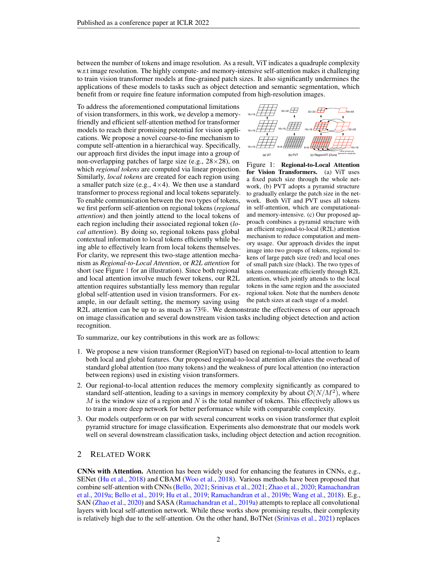between the number of tokens and image resolution. As a result, ViT indicates a quadruple complexity w.r.t image resolution. The highly compute- and memory-intensive self-attention makes it challenging to train vision transformer models at fine-grained patch sizes. It also significantly undermines the applications of these models to tasks such as object detection and semantic segmentation, which benefit from or require fine feature information computed from high-resolution images.

To address the aforementioned computational limitations of vision transformers, in this work, we develop a memoryfriendly and efficient self-attention method for transformer models to reach their promising potential for vision applications. We propose a novel coarse-to-fine mechanism to compute self-attention in a hierarchical way. Specifically, our approach first divides the input image into a group of non-overlapping patches of large size (e.g.,  $28 \times 28$ ), on which *regional tokens* are computed via linear projection. Similarly, *local tokens* are created for each region using a smaller patch size (e.g.,  $4 \times 4$ ). We then use a standard transformer to process regional and local tokens separately. To enable communication between the two types of tokens, we first perform self-attention on regional tokens (*regional attention*) and then jointly attend to the local tokens of each region including their associated regional token (*local attention*). By doing so, regional tokens pass global contextual information to local tokens efficiently while being able to effectively learn from local tokens themselves. For clarity, we represent this two-stage attention mechanism as *Regional-to-Local Attention*, or *R2L attention* for short (see Figure [1](#page-1-0) for an illustration). Since both regional and local attention involve much fewer tokens, our R2L attention requires substantially less memory than regular global self-attention used in vision transformers. For example, in our default setting, the memory saving using

<span id="page-1-0"></span>

Figure 1: Regional-to-Local Attention for Vision Transformers. (a) ViT uses a fixed patch size through the whole network, (b) PVT adopts a pyramid structure to gradually enlarge the patch size in the network. Both ViT and PVT uses all tokens in self-attention, which are computationaland memory-intensive. (c) Our proposed approach combines a pyramid structure with an efficient regional-to-local (R2L) attention mechanism to reduce computation and memory usage. Our approach divides the input image into two groups of tokens, regional tokens of large patch size (red) and local ones of small patch size (black). The two types of tokens communicate efficiently through R2L attention, which jointly attends to the local tokens in the same region and the associated regional token. Note that the numbers denote the patch sizes at each stage of a model.

R2L attention can be up to as much as 73%. We demonstrate the effectiveness of our approach on image classification and several downstream vision tasks including object detection and action recognition.

To summarize, our key contributions in this work are as follows:

- 1. We propose a new vision transformer (RegionViT) based on regional-to-local attention to learn both local and global features. Our proposed regional-to-local attention alleviates the overhead of standard global attention (too many tokens) and the weakness of pure local attention (no interaction between regions) used in existing vision transformers.
- 2. Our regional-to-local attention reduces the memory complexity significantly as compared to standard self-attention, leading to a savings in memory complexity by about  $\mathcal{O}(N/M^2)$ , where  $M$  is the window size of a region and N is the total number of tokens. This effectively allows us to train a more deep network for better performance while with comparable complexity.
- 3. Our models outperform or on par with several concurrent works on vision transformer that exploit pyramid structure for image classification. Experiments also demonstrate that our models work well on several downstream classification tasks, including object detection and action recognition.

# 2 RELATED WORK

CNNs with Attention. Attention has been widely used for enhancing the features in CNNs, e.g., SENet [\(Hu et al.,](#page-11-6) [2018\)](#page-11-6) and CBAM [\(Woo et al.,](#page-13-4) [2018\)](#page-13-4). Various methods have been proposed that combine self-attention with CNNs [\(Bello,](#page-10-1) [2021;](#page-10-1) [Srinivas et al.,](#page-12-1) [2021;](#page-12-1) [Zhao et al.,](#page-13-0) [2020;](#page-13-0) [Ramachandran](#page-12-2) [et al.,](#page-12-2) [2019a;](#page-12-2) [Bello et al.,](#page-10-2) [2019;](#page-10-2) [Hu et al.,](#page-11-0) [2019;](#page-11-0) [Ramachandran et al.,](#page-12-3) [2019b;](#page-12-3) [Wang et al.,](#page-12-4) [2018\)](#page-12-4). E.g., SAN [\(Zhao et al.,](#page-13-0) [2020\)](#page-13-0) and SASA [\(Ramachandran et al.,](#page-12-2) [2019a\)](#page-12-2) attempts to replace all convolutional layers with local self-attention network. While these works show promising results, their complexity is relatively high due to the self-attention. On the other hand, BoTNet [\(Srinivas et al.,](#page-12-1) [2021\)](#page-12-1) replaces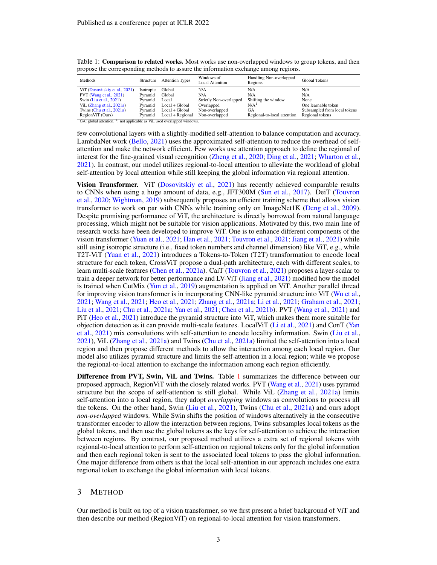| Methods                        | Structure | <b>Attention Types</b> | Windows of<br>Local Attention | Handling Non-overlapped<br>Regions | Global Tokens                |
|--------------------------------|-----------|------------------------|-------------------------------|------------------------------------|------------------------------|
| ViT (Dosovitskiy et al., 2021) | Isotropic | Global                 | N/A                           | N/A                                | N/A                          |
| PVT (Wang et al., 2021)        | Pyramid   | Global                 | N/A                           | N/A                                | N/A                          |
| Swin (Liu et al., 2021)        | Pyramid   | Local                  | Strictly Non-overlapped       | Shifting the window                | None                         |
| ViL $(Zhang et al., 2021a)$    | Pyramid   | $Local + Global$       | Overlapped                    | N/A <sup>1</sup>                   | One learnable token          |
| Twins (Chu et al., $2021a$ )   | Pvramid   | $Local + Global$       | Non-overlapped                | GА                                 | Subsampled from local tokens |
| RegionViT (Ours)               | Pyramid   | Local + Regional       | Non-overlapped                | Regional-to-local attention        | Regional tokens              |

<span id="page-2-0"></span>Table 1: Comparison to related works. Most works use non-overlapped windows to group tokens, and then propose the corresponding methods to assure the information exchange among regions.

GA: global attention. <sup>1</sup>: not applicable as ViL used overlapped windows.

few convolutional layers with a slightly-modified self-attention to balance computation and accuracy. LambdaNet work [\(Bello,](#page-10-1) [2021\)](#page-10-1) uses the approximated self-attention to reduce the overhead of selfattention and make the network efficient. Few works use attention approach to define the regional of interest for the fine-grained visual recognition [\(Zheng et al.,](#page-13-5) [2020;](#page-13-5) [Ding et al.,](#page-10-7) [2021;](#page-10-7) [Wharton et al.,](#page-12-7) [2021\)](#page-12-7). In contrast, our model utilizes regional-to-local attention to alleviate the workload of global self-attention by local attention while still keeping the global information via regional attention.

Vision Transformer. ViT [\(Dosovitskiy et al.,](#page-10-3) [2021\)](#page-10-3) has recently achieved comparable results to CNNs when using a huge amount of data, e.g., JFT300M [\(Sun et al.,](#page-12-8) [2017\)](#page-12-8). DeiT [\(Touvron](#page-12-9) [et al.,](#page-12-9) [2020;](#page-12-9) [Wightman,](#page-12-10) [2019\)](#page-12-10) subsequently proposes an efficient training scheme that allows vision transformer to work on par with CNNs while training only on ImageNet1K [\(Deng et al.,](#page-10-8) [2009\)](#page-10-8). Despite promising performance of ViT, the architecture is directly borrowed from natural language processing, which might not be suitable for vision applications. Motivated by this, two main line of research works have been developed to improve ViT. One is to enhance different components of the vision transformer [\(Yuan et al.,](#page-13-6) [2021;](#page-13-6) [Han et al.,](#page-11-7) [2021;](#page-11-7) [Touvron et al.,](#page-12-11) [2021;](#page-12-11) [Jiang et al.,](#page-11-8) [2021\)](#page-11-8) while still using isotropic structure (i.e., fixed token numbers and channel dimension) like ViT, e.g., while T2T-ViT [\(Yuan et al.,](#page-13-6) [2021\)](#page-13-6) introduces a Tokens-to-Token (T2T) transformation to encode local structure for each token, CrossViT propose a dual-path architecture, each with different scales, to learn multi-scale features [\(Chen et al.,](#page-10-9) [2021a\)](#page-10-9). CaiT [\(Touvron et al.,](#page-12-11) [2021\)](#page-12-11) proposes a layer-scalar to train a deeper network for better performance and LV-ViT [\(Jiang et al.,](#page-11-8) [2021\)](#page-11-8) modified how the model is trained when CutMix [\(Yun et al.,](#page-13-7) [2019\)](#page-13-7) augmentation is applied on ViT. Another parallel thread for improving vision transformer is in incorporating CNN-like pyramid structure into ViT [\(Wu et al.,](#page-13-1) [2021;](#page-13-1) [Wang et al.,](#page-12-6) [2021;](#page-12-6) [Heo et al.,](#page-11-2) [2021;](#page-11-2) [Zhang et al.,](#page-13-2) [2021a;](#page-13-2) [Li et al.,](#page-11-3) [2021;](#page-11-3) [Graham et al.,](#page-11-4) [2021;](#page-11-4) [Liu et al.,](#page-11-5) [2021;](#page-11-5) [Chu et al.,](#page-10-5) [2021a;](#page-10-5) [Yan et al.,](#page-13-3) [2021;](#page-13-3) [Chen et al.,](#page-10-6) [2021b\)](#page-10-6). PVT [\(Wang et al.,](#page-12-6) [2021\)](#page-12-6) and PiT [\(Heo et al.,](#page-11-2) [2021\)](#page-11-2) introduce the pyramid structure into ViT, which makes them more suitable for objection detection as it can provide multi-scale features. LocalViT [\(Li et al.,](#page-11-3) [2021\)](#page-11-3) and ConT [\(Yan](#page-13-3) [et al.,](#page-13-3) [2021\)](#page-13-3) mix convolutions with self-attention to encode locality information. Swin [\(Liu et al.,](#page-11-5) [2021\)](#page-11-5), ViL [\(Zhang et al.,](#page-13-2) [2021a\)](#page-13-2) and Twins [\(Chu et al.,](#page-10-5) [2021a\)](#page-10-5) limited the self-attention into a local region and then propose different methods to allow the interaction among each local region. Our model also utilizes pyramid structure and limits the self-attention in a local region; while we propose the regional-to-local attention to exchange the information among each region efficiently.

Difference from PVT, Swin, ViL and Twins. Table [1](#page-2-0) summarizes the difference between our proposed approach, RegionViT with the closely related works. PVT [\(Wang et al.,](#page-12-6) [2021\)](#page-12-6) uses pyramid structure but the scope of self-attention is still global. While ViL [\(Zhang et al.,](#page-13-2) [2021a\)](#page-13-2) limits self-attention into a local region, they adopt *overlapping* windows as convolutions to process all the tokens. On the other hand, Swin [\(Liu et al.,](#page-11-5) [2021\)](#page-11-5), Twins [\(Chu et al.,](#page-10-5) [2021a\)](#page-10-5) and ours adopt *non-overlapped* windows. While Swin shifts the position of windows alternatively in the consecutive transformer encoder to allow the interaction between regions, Twins subsamples local tokens as the global tokens, and then use the global tokens as the keys for self-attention to achieve the interaction between regions. By contrast, our proposed method utilizes a extra set of regional tokens with regional-to-local attention to perform self-attention on regional tokens only for the global information and then each regional token is sent to the associated local tokens to pass the global information. One major difference from others is that the local self-attention in our approach includes one extra regional token to exchange the global information with local tokens.

### 3 METHOD

Our method is built on top of a vision transformer, so we first present a brief background of ViT and then describe our method (RegionViT) on regional-to-local attention for vision transformers.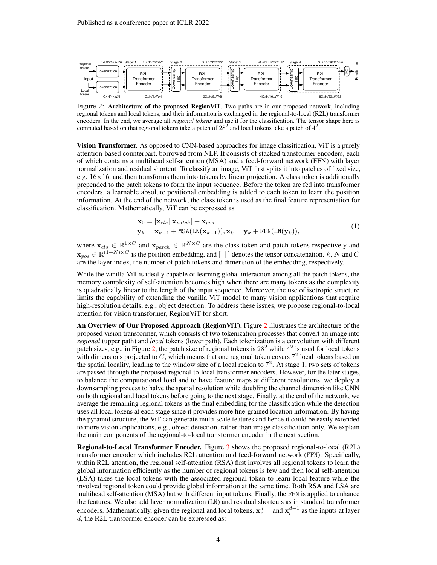<span id="page-3-0"></span>

Figure 2: Architecture of the proposed RegionViT. Two paths are in our proposed network, including regional tokens and local tokens, and their information is exchanged in the regional-to-local (R2L) transformer encoders. In the end, we average all *regional tokens* and use it for the classification. The tensor shape here is computed based on that regional tokens take a patch of  $28^2$  and local tokens take a patch of  $4^2$ .

Vision Transformer. As opposed to CNN-based approaches for image classification, ViT is a purely attention-based counterpart, borrowed from NLP. It consists of stacked transformer encoders, each of which contains a multihead self-attention (MSA) and a feed-forward network (FFN) with layer normalization and residual shortcut. To classify an image, ViT first splits it into patches of fixed size, e.g.  $16\times16$ , and then transforms them into tokens by linear projection. A class token is additionally prepended to the patch tokens to form the input sequence. Before the token are fed into transformer encoders, a learnable absolute positional embedding is added to each token to learn the position information. At the end of the network, the class token is used as the final feature representation for classification. Mathematically, ViT can be expressed as

$$
\mathbf{x}_0 = [\mathbf{x}_{cls} || \mathbf{x}_{patch}] + \mathbf{x}_{pos}
$$
  
\n
$$
\mathbf{y}_k = \mathbf{x}_{k-1} + \text{MSA}(\text{LN}(\mathbf{x}_{k-1})), \mathbf{x}_k = \mathbf{y}_k + \text{FFN}(\text{LN}(\mathbf{y}_k)),
$$
\n(1)

where  $\mathbf{x}_{cls} \in \mathbb{R}^{1 \times C}$  and  $\mathbf{x}_{patch} \in \mathbb{R}^{N \times C}$  are the class token and patch tokens respectively and  $\mathbf{x}_{pos} \in \mathbb{R}^{(1+N)\times C}$  is the position embedding, and [||] denotes the tensor concatenation. k, N and C are the layer index, the number of patch tokens and dimension of the embedding, respectively.

While the vanilla ViT is ideally capable of learning global interaction among all the patch tokens, the memory complexity of self-attention becomes high when there are many tokens as the complexity is quadratically linear to the length of the input sequence. Moreover, the use of isotropic structure limits the capability of extending the vanilla ViT model to many vision applications that require high-resolution details, e.g., object detection. To address these issues, we propose regional-to-local attention for vision transformer, RegionViT for short.

An Overview of Our Proposed Approach (RegionViT). Figure [2](#page-3-0) illustrates the architecture of the proposed vision transformer, which consists of two tokenization processes that convert an image into *regional* (upper path) and *local* tokens (lower path). Each tokenization is a convolution with different patch sizes, e.g., in Figure [2,](#page-3-0) the patch size of regional tokens is  $28<sup>2</sup>$  while  $4<sup>2</sup>$  is used for local tokens with dimensions projected to  $C$ , which means that one regional token covers  $7<sup>2</sup>$  local tokens based on the spatial locality, leading to the window size of a local region to  $7^2$ . At stage 1, two sets of tokens are passed through the proposed regional-to-local transformer encoders. However, for the later stages, to balance the computational load and to have feature maps at different resolutions, we deploy a downsampling process to halve the spatial resolution while doubling the channel dimension like CNN on both regional and local tokens before going to the next stage. Finally, at the end of the network, we average the remaining regional tokens as the final embedding for the classification while the detection uses all local tokens at each stage since it provides more fine-grained location information. By having the pyramid structure, the ViT can generate multi-scale features and hence it could be easily extended to more vision applications, e.g., object detection, rather than image classification only. We explain the main components of the regional-to-local transformer encoder in the next section.

Regional-to-Local Transformer Encoder. Figure [3](#page-4-0) shows the proposed regional-to-local (R2L) transformer encoder which includes R2L attention and feed-forward network (FFN). Specifically, within R2L attention, the regional self-attention (RSA) first involves all regional tokens to learn the global information efficiently as the number of regional tokens is few and then local self-attention (LSA) takes the local tokens with the associated regional token to learn local feature while the involved regional token could provide global information at the same time. Both RSA and LSA are multihead self-attention (MSA) but with different input tokens. Finally, the FFN is applied to enhance the features. We also add layer normalization (LN) and residual shortcuts as in standard transformer encoders. Mathematically, given the regional and local tokens,  $x_r^{d-1}$  and  $x_l^{d-1}$  as the inputs at layer d, the R2L transformer encoder can be expressed as: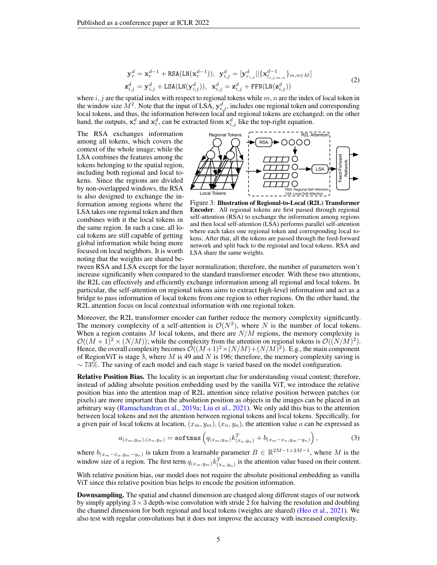$$
\mathbf{y}_{r}^{d} = \mathbf{x}_{r}^{d-1} + \text{RSA}(\text{LN}(\mathbf{x}_{r}^{d-1})), \ \mathbf{y}_{i,j}^{d} = [\mathbf{y}_{r_{i,j}}^{d} || \{\mathbf{x}_{l_{i,j,m,n}}^{d-1}\}_{m,n \in M}]
$$
\n
$$
\mathbf{z}_{i,j}^{d} = \mathbf{y}_{i,j}^{d} + \text{LSA}(\text{LN}(\mathbf{y}_{i,j}^{d})), \ \mathbf{x}_{i,j}^{d} = \mathbf{z}_{i,j}^{d} + \text{FFN}(\text{LN}(\mathbf{z}_{i,j}^{d}))
$$
\n(2)

where  $i, j$  are the spatial index with respect to regional tokens while  $m, n$  are the index of local token in the window size  $\tilde{M}^2$ . Note that the input of LSA,  $y_{i,j}^d$ , includes one regional token and corresponding local tokens, and thus, the information between local and regional tokens are exchanged; on the other hand, the outputs,  $x_r^d$  and  $x_l^d$ , can be extracted from  $x_{i,j}^d$  like the top-right equation.

The RSA exchanges information among all tokens, which covers the context of the whole image; while the LSA combines the features among the tokens belonging to the spatial region, including both regional and local tokens. Since the regions are divided by non-overlapped windows, the RSA is also designed to exchange the information among regions where the LSA takes one regional token and then combines with it the local tokens in the same region. In such a case, all local tokens are still capable of getting global information while being more focused on local neighbors. It is worth noting that the weights are shared be-

<span id="page-4-0"></span>

Figure 3: Illustration of Regional-to-Local (R2L) Transformer Encoder. All regional tokens are first passed through regional self-attention (RSA) to exchange the information among regions and then local self-attention (LSA) performs parallel self-attention where each takes one regional token and corresponding local tokens. After that, all the tokens are passed through the feed-forward network and split back to the regional and local tokens. RSA and LSA share the same weights.

tween RSA and LSA except for the layer normalization; therefore, the number of parameters won't increase significantly when compared to the standard transformer encoder. With these two attentions, the R2L can effectively and efficiently exchange information among all regional and local tokens. In particular, the self-attention on regional tokens aims to extract high-level information and act as a bridge to pass information of local tokens from one region to other regions. On the other hand, the R2L attention focus on local contextual information with one regional token.

Moreover, the R2L transformer encoder can further reduce the memory complexity significantly. The memory complexity of a self-attention is  $\mathcal{O}(N^2)$ , where N is the number of local tokens. When a region contains  $M$  local tokens, and there are  $N/M$  regions, the memory complexity is  $\mathcal{O}((M+1)^2 \times (N/M))$ ; while the complexity from the attention on regional tokens is  $\mathcal{O}((N/M)^2)$ . Hence, the overall complexity becomes  $\mathcal{O}((M+1)^2 \times (N/M) + (N/M)^2)$ . E.g., the main component of RegionViT is stage 3, where M is 49 and N is 196; therefore, the memory complexity saving is  $\sim$  73%. The saving of each model and each stage is varied based on the model configuration.

Relative Position Bias. The locality is an important clue for understanding visual content; therefore, instead of adding absolute position embedding used by the vanilla ViT, we introduce the relative position bias into the attention map of R2L attention since relative position between patches (or pixels) are more important than the absolution position as objects in the images can be placed in an arbitrary way [\(Ramachandran et al.,](#page-12-2) [2019a;](#page-12-2) [Liu et al.,](#page-11-5) [2021\)](#page-11-5). We only add this bias to the attention between local tokens and not the attention between regional tokens and local tokens. Specifically, for a given pair of local tokens at location,  $(x_m, y_m)$ ,  $(x_n, y_n)$ , the attention value a can be expressed as

$$
a_{(x_m, y_m), (x_n, y_n)} = \text{softmax}\left(q_{(x_m, y_m)} k_{(x_n, y_n)}^T + b_{(x_m - x_n, y_m - y_n)}\right),\tag{3}
$$

where  $b_{(x_m-x_n,y_m-y_n)}$  is taken from a learnable parameter  $B \in \mathbb{R}^{2M-1 \times 2M-1}$ , where M is the window size of a region. The first term  $q_{(x_m,y_m)}k_{(x_n,y_n)}^T$  is the attention value based on their content.

With relative position bias, our model does not require the absolute positional embedding as vanilla ViT since this relative position bias helps to encode the position information.

Downsampling. The spatial and channel dimension are changed along different stages of our network by simply applying  $3 \times 3$  depth-wise convolution with stride 2 for halving the resolution and doubling the channel dimension for both regional and local tokens (weights are shared) [\(Heo et al.,](#page-11-2) [2021\)](#page-11-2). We also test with regular convolutions but it does not improve the accuracy with increased complexity.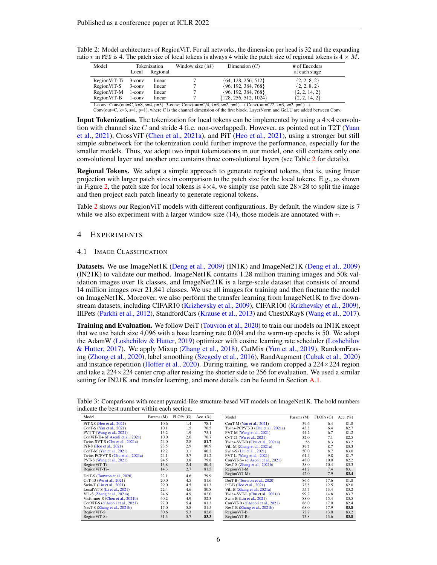| Model         |           | Tokenization | Window size $(M)$ | Dimension $(C)$         | # of Encoders     |
|---------------|-----------|--------------|-------------------|-------------------------|-------------------|
|               | Local     | Regional     |                   |                         | at each stage     |
| Region ViT-Ti | $3$ -conv | linear       |                   | ${64, 128, 256, 512}$   | $\{2, 2, 8, 2\}$  |
| Region ViT-S  | $3$ -conv | linear       |                   | ${96, 192, 384, 768}$   | $\{2, 2, 8, 2\}$  |
| RegionViT-M   | $1$ -conv | linear       |                   | ${96, 192, 384, 768}$   | $\{2, 2, 14, 2\}$ |
| Region ViT-B  | $1$ -conv | linear       |                   | ${128, 256, 512, 1024}$ | $\{2, 2, 14, 2\}$ |

<span id="page-5-0"></span>Table 2: Model architectures of RegionViT. For all networks, the dimension per head is 32 and the expanding ratio r in FFN is 4. The patch size of local tokens is always 4 while the patch size of regional tokens is  $4 \times M$ .

1-conv: Conv(out=C, k=8, s=4, p=3). 3-conv: Conv(out=C/4, k=3, s=2, p=1)  $\rightarrow$  Conv(out=C/2, k=3, s=2, p=1)  $\rightarrow$ Conv(out=C, k=3, s=1, p=1), where C is the channel dimension of the first block. LayerNorm and GeLU are added between Conv.

**Input Tokenization.** The tokenization for local tokens can be implemented by using a  $4\times4$  convolu-tion with channel size C and stride 4 (i.e. non-overlapped). However, as pointed out in T2T [\(Yuan](#page-13-6) [et al.,](#page-13-6) [2021\)](#page-13-6), CrossViT [\(Chen et al.,](#page-10-9) [2021a\)](#page-10-9), and PiT [\(Heo et al.,](#page-11-2) [2021\)](#page-11-2), using a stronger but still simple subnetwork for the tokenization could further improve the performance, especially for the smaller models. Thus, we adopt two input tokenizations in our model, one still contains only one convolutional layer and another one contains three convolutional layers (see Table [2](#page-5-0) for details).

Regional Tokens. We adopt a simple approach to generate regional tokens, that is, using linear projection with larger patch sizes in comparison to the patch size for the local tokens. E.g., as shown in Figure [2,](#page-3-0) the patch size for local tokens is  $4\times4$ , we simply use patch size  $28\times28$  to split the image and then project each patch linearly to generate regional tokens.

Table [2](#page-5-0) shows our RegionViT models with different configurations. By default, the window size is 7 while we also experiment with a larger window size (14), those models are annotated with  $+$ .

### 4 EXPERIMENTS

#### 4.1 IMAGE CLASSIFICATION

Datasets. We use ImageNet1K [\(Deng et al.,](#page-10-8) [2009\)](#page-10-8) (IN1K) and ImageNet21K [\(Deng et al.,](#page-10-8) [2009\)](#page-10-8) (IN21K) to validate our method. ImageNet1K contains 1.28 million training images and 50k validation images over 1k classes, and ImageNet21K is a large-scale dataset that consists of around 14 million images over 21,841 classes. We use all images for training and then finetune the model on ImageNet1K. Moreover, we also perform the transfer learning from ImageNet1K to five downstream datasets, including CIFAR10 [\(Krizhevsky et al.,](#page-11-9) [2009\)](#page-11-9), CIFAR100 [\(Krizhevsky et al.,](#page-11-9) [2009\)](#page-11-9), IIIPets [\(Parkhi et al.,](#page-12-12) [2012\)](#page-12-12), StandfordCars [\(Krause et al.,](#page-11-10) [2013\)](#page-11-10) and ChestXRay8 [\(Wang et al.,](#page-12-13) [2017\)](#page-12-13).

Training and Evaluation. We follow DeiT [\(Touvron et al.,](#page-12-9) [2020\)](#page-12-9) to train our models on IN1K except that we use batch size 4,096 with a base learning rate 0.004 and the warm-up epochs is 50. We adopt the AdamW [\(Loshchilov & Hutter,](#page-12-14) [2019\)](#page-12-14) optimizer with cosine learning rate scheduler [\(Loshchilov](#page-12-15) [& Hutter,](#page-12-15) [2017\)](#page-12-15). We apply Mixup [\(Zhang et al.,](#page-13-8) [2018\)](#page-13-8), CutMix [\(Yun et al.,](#page-13-7) [2019\)](#page-13-7), RandomErasing [\(Zhong et al.,](#page-13-9) [2020\)](#page-13-9), label smoothing [\(Szegedy et al.,](#page-12-16) [2016\)](#page-12-16), RandAugment [\(Cubuk et al.,](#page-10-10) [2020\)](#page-10-10) and instance repetition [\(Hoffer et al.,](#page-11-11) [2020\)](#page-11-11). During training, we random cropped a  $224 \times 224$  region and take a  $224 \times 224$  center crop after resizing the shorter side to 256 for evaluation. We used a similar setting for IN21K and transfer learning, and more details can be found in Section [A.1.](#page-14-0)

| Model                              | Params (M) | FLOPs(G) | Acc. $(\%)$ | Model                             | Params (M) | FLOPs(G) | Acc. $(\%)$ |
|------------------------------------|------------|----------|-------------|-----------------------------------|------------|----------|-------------|
| PiT-XS (Heo et al., 2021)          | 10.6       | 1.4      | 78.1        | ConT-M (Yan et al., $2021$ )      | 39.6       | 6.4      | 81.8        |
| ConT-S (Yan et al., 2021)          | 10.1       | 1.5      | 76.5        | Twins-PCPVT-B (Chu et al., 2021a) | 43.8       | 6.4      | 82.7        |
| PVT-T (Wang et al., 2021)          | 13.2       | 1.9      | 75.1        | PVT-M (Wang et al., 2021)         | 44.2       | 6.7      | 81.2        |
| ConViT-Ti+ (d'Ascoli et al., 2021) | 10.0       | 2.0      | 76.7        | CvT-21 (Wu et al., 2021)          | 32.0       | 7.1      | 82.5        |
| Twins-SVT-S (Chu et al., 2021a)    | 24.0       | 2.8      | 81.7        | Twins-SVT-B (Chu et al., 2021a)   | 56         | 8.3      | 83.2        |
| PiT-S (Heo et al., 2021)           | 23.5       | 2.9      | 80.9        | ViL-M $(Zhang et al., 2021a)$     | 39.7       | 8.7      | 83.3        |
| ConT-M (Yan et al., $2021$ )       | 19.2       | 3.1      | 80.2        | Swin-S (Liu et al., 2021)         | 50.0       | 8.7      | 83.0        |
| Twins-PCPVT-S (Chu et al., 2021a)  | 24.1       | 3.7      | 81.2        | PVT-L (Wang et al., 2021)         | 61.4       | 9.8      | 81.7        |
| PVT S (Wang et al., 2021)          | 24.5       | 3.8      | 79.8        | ConViT-S+ (d'Ascoli et al., 2021) | 48.0       | 10.0     | 82.2        |
| RegionViT-Ti                       | 13.8       | 2.4      | 80.4        | NesT-S (Zhang et al., 2021b)      | 38.0       | 10.4     | 83.3        |
| RegionViT-Ti+                      | 14.3       | 2.7      | 81.5        | RegionViT-M                       | 41.2       | 7.4      | 83.1        |
| DeiT-S (Touvron et al., 2020)      | 22.1       | 4.6      | 79.9        | RegionViT-M+                      | 42.0       | 7.9      | 83.4        |
| CvT-13 (Wu et al., 2021)           | 20.0       | 4.5      | 81.6        | DeiT-B (Touvron et al., 2020)     | 86.6       | 17.6     | 81.8        |
| Swin-T (Liu et al., 2021)          | 29.0       | 4.5      | 81.3        | PiT-B (Heo et al., 2021)          | 73.8       | 12.5     | 82.0        |
| LocalViT-S (Li et al., 2021)       | 22.4       | 4.6      | 80.8        | ViL-B $(Zhang et al., 2021a)$     | 55.7       | 13.4     | 83.2        |
| ViL-S $(Zhang et al., 2021a)$      | 24.6       | 4.9      | 82.0        | Twins-SVT-L (Chu et al., 2021a)   | 99.2       | 14.8     | 83.7        |
| Visformer-S (Chen et al., 2021b)   | 40.2       | 4.9      | 82.3        | Swin-B (Liu et al., 2021)         | 88.0       | 15.4     | 83.5        |
| ConViT-S (d'Ascoli et al., 2021)   | 27.0       | 5.4      | 81.3        | ConViT-B (d'Ascoli et al., 2021)  | 86.0       | 17.0     | 82.4        |
| NesT S (Zhang et al., 2021b)       | 17.0       | 5.8      | 81.5        | NesT-B (Zhang et al., 2021b)      | 68.0       | 17.9     | 83.8        |
| RegionViT-S                        | 30.6       | 5.3      | 82.6        | RegionViT-B                       | 72.7       | 13.0     | 83.2        |
| RegionViT-S+                       | 31.3       | 5.7      | 83.3        | RegionViT-B+                      | 73.8       | 13.6     | 83.8        |

<span id="page-5-1"></span>Table 3: Comparisons with recent pyramid-like structure-based ViT models on ImageNet1K. The bold numbers indicate the best number within each section.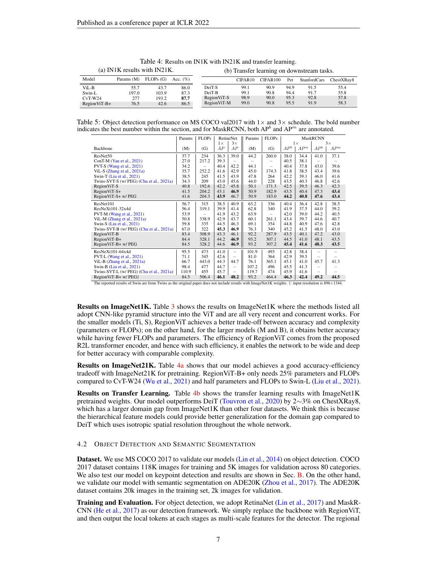<span id="page-6-0"></span>

|                | (a) IN1K results with IN21K. |          |              |              |                     |          |      | (b) Transfer learning on downstream tasks. |            |
|----------------|------------------------------|----------|--------------|--------------|---------------------|----------|------|--------------------------------------------|------------|
| Model          | Params (M)                   | FLOPs(G) | Acc. $(\% )$ |              | CIFAR <sub>10</sub> | CIFAR100 | Pet  | StanfordCars                               | ChestXRav8 |
| ViL-B          | 55.7                         | 43.7     | 86.0         | DeiT-S       | 99.1                | 90.9     | 94.9 | 91.5                                       | 55.4       |
| Swin-L         | 197.0                        | 103.9    | 87.3         | DeiT-B       | 99.1                | 90.8     | 94.4 | 91.7                                       | 55.8       |
| $CvT-W24$      | 277                          | 193.2    | 87.7         | Region ViT-S | 98.9                | 90.0     | 95.3 | 92.8                                       | 57.8       |
| $RegionViT-B+$ | 76.5                         | 42.6     | 86.5         | RegionViT-M  | 99.0                | 90.8     | 95.5 | 91.9                                       | 58.3       |

Table 4: Results on IN1K with IN21K and transfer learning.

<span id="page-6-1"></span>Table 5: Object detection performance on MS COCO val2017 with  $1 \times$  and  $3 \times$  schedule. The bold number indicates the best number within the section, and for MaskRCNN, both  $AP<sup>b</sup>$  and  $AP<sup>m</sup>$  are annotated.

|                                          | Params | <b>FLOPs</b> |           | RetineNet                | Params | <b>FLOPs</b>             |        |                 | <b>MaskRCNN</b>          |                          |
|------------------------------------------|--------|--------------|-----------|--------------------------|--------|--------------------------|--------|-----------------|--------------------------|--------------------------|
|                                          |        |              | $1\times$ | $3\times$                |        |                          |        | $1\times$       |                          | $3\times$                |
| <b>Backbone</b>                          | (M)    | (G)          | АP        | AP                       | (M)    | (G)                      | $AP^b$ | AP <sup>m</sup> | $AP^b$                   | AP <sup>m</sup>          |
| ResNet50                                 | 37.7   | 234          | 36.3      | 39.0                     | 44.2   | 260.0                    | 38.0   | 34.4            | 41.0                     | 37.1                     |
| ConT-M (Yan et al., 2021)                | 27.0   | 217.2        | 39.3      | -                        |        | -                        | 40.5   | 38.1            |                          |                          |
| PVT-S (Wang et al., 2021)                | 34.2   |              | 40.4      | 42.2                     | 44.1   | $\overline{\phantom{0}}$ | 40.4   | 37.8            | 43.0                     | 39.6                     |
| ViL-S (Zhang et al., 2021a)              | 35.7   | 252.2        | 41.6      | 42.9                     | 45.0   | 174.3                    | 41.8   | 38.5            | 43.4                     | 39.6                     |
| Swin-T (Liu et al., 2021)                | 38.5   | 245          | 41.5      | 43.9                     | 47.8   | 264                      | 42.2   | 39.1            | 46.0                     | 41.6                     |
| Twins-SVT-S (w/ PEG) (Chu et al., 2021a) | 34.3   | 209          | 43.0      | 45.6                     | 44.0   | 228                      | 43.5   | 40.3            | 46.8                     | 42.6                     |
| Region ViT-S                             | 40.8   | 192.6        | 42.2      | 45.8                     | 50.1   | 171.3                    | 42.5   | 39.5            | 46.3                     | 42.3                     |
| RegionViT-S+                             | 41.5   | 204.2        | 43.1      | 46.9                     | 50.9   | 182.9                    | 43.5   | 40.4            | 47.3                     | 43.4                     |
| RegionViT-S+ w/ PEG                      | 41.6   | 204.3        | 43.9      | 46.7                     | 50.9   | 183.0                    | 44.2   | 40.8            | 47.6                     | 43.4                     |
| ResNet101                                | 56.7   | 315          | 38.5      | 40.9                     | 63.2   | 336                      | 40.4   | 36.4            | 42.8                     | 38.5                     |
| $ResNeXt101-32x4d$                       | 56.4   | 319.1        | 39.9      | 41.4                     | 62.8   | 340                      | 41.9   | 37.5            | 44.0                     | 39.2                     |
| PVT-M (Wang et al., 2021)                | 53.9   |              | 41.9      | 43.2                     | 63.9   | $\overline{\phantom{0}}$ | 42.0   | 39.0            | 44.2                     | 40.5                     |
| ViL-M (Zhang et al., 2021a)              | 50.8   | 338.9        | 42.9      | 43.7                     | 60.1   | 261.1                    | 43.4   | 39.7            | 44.6                     | 40.7                     |
| Swin-S (Liu et al., 2021)                | 59.8   | 335          | 44.5      | 46.3                     | 69.1   | 354                      | 44.8   | 40.9            | 47.6                     | 42.8                     |
| Twins-SVT-B (w/ PEG) (Chu et al., 2021a) | 67.0   | 322          | 45.3      | 46.9                     | 76.3   | 340                      | 45.2   | 41.5            | 48.0                     | 43.0                     |
| Region ViT-B                             | 83.4   | 308.9        | 43.3      | 46.1                     | 92.2   | 287.9                    | 43.5   | 40.1            | 47.2                     | 43.0                     |
| RegionViT-B+                             | 84.4   | 328.1        | 44.2      | 46.9                     | 93.2   | 307.1                    | 44.5   | 41.0            | 48.1                     | 43.5                     |
| RegionViT-B+ w/ PEG                      | 84.5   | 328.2        | 44.6      | 46.9                     | 93.2   | 307.2                    | 45.4   | 41.6            | 48.3                     | 43.5                     |
| ResNeXt101-64x4d                         | 95.5   | 473          | 41.0      | $\qquad \qquad -$        | 101.9  | 493                      | 42.8   | 38.4            | $\qquad \qquad -$        | $\overline{\phantom{0}}$ |
| PVT-L (Wang et al., 2021)                | 71.1   | 345          | 42.6      | $\overline{\phantom{m}}$ | 81.0   | 364                      | 42.9   | 39.5            | $\overline{\phantom{0}}$ |                          |
| ViL-B (Zhang et al., 2021a)              | 66.7   | 443.0        | 44.3      | 44.7                     | 76.1   | 365.1                    | 45.1   | 41.0            | 45.7                     | 41.3                     |
| Swin-B (Liu et al., 2021)                | 98.4   | 477          | 44.7      | $\qquad \qquad -$        | 107.2  | 496                      | 45.5   | 41.3            | $\overline{\phantom{0}}$ |                          |
| Twins-SVT-L (w/ PEG) (Chu et al., 2021a) | 110.9  | 455          | 45.7      | $\qquad \qquad -$        | 119.7  | 474                      | 45.9   | 41.6            | $\qquad \qquad -$        |                          |
| RegionViT-B+ w/ PEG+                     | 84.5   | 506.4        | 46.1      | 48.2                     | 93.2   | 464.4                    | 46.3   | 42.4            | 49.2                     | 44.5                     |

The reported results of Swin are from Twins as the original paper does not include resutls with ImageNet1K weights. †: input resolution is 896<sup>×</sup>1344.

Results on ImageNet1K. Table [3](#page-5-1) shows the results on ImageNet1K where the methods listed all adopt CNN-like pyramid structure into the ViT and are all very recent and concurrent works. For the smaller models (Ti, S), RegionViT achieves a better trade-off between accuracy and complexity (parameters or FLOPs); on the other hand, for the larger models (M and B), it obtains better accuracy while having fewer FLOPs and parameters. The efficiency of RegionViT comes from the proposed R2L transformer encoder, and hence with such efficiency, it enables the network to be wide and deep for better accuracy with comparable complexity.

**Results on ImageNet21K.** Table [4a](#page-6-0) shows that our model achieves a good accuracy-efficiency tradeoff with ImageNet21K for pretraining. RegionViT-B+ only needs 25% parameters and FLOPs compared to CvT-W24 [\(Wu et al.,](#page-13-1) [2021\)](#page-13-1) and half parameters and FLOPs to Swin-L [\(Liu et al.,](#page-11-5) [2021\)](#page-11-5).

Results on Transfer Learning. Table [4b](#page-6-0) shows the transfer learning results with ImageNet1K pretrained weights. Our model outperforms DeiT [\(Touvron et al.,](#page-12-9) [2020\)](#page-12-9) by 2∼3% on ChestXRay8, which has a larger domain gap from ImageNet1K than other four datasets. We think this is because the hierarchical feature models could provide better generalization for the domain gap compared to DeiT which uses isotropic spatial resolution throughout the whole network.

### 4.2 OBJECT DETECTION AND SEMANTIC SEGMENTATION

Dataset. We use MS COCO 2017 to validate our models [\(Lin et al.,](#page-11-12) [2014\)](#page-11-12) on object detection. COCO 2017 dataset contains 118K images for training and 5K images for validation across 80 categories. We also test our model on keypoint detection and results are shown in Sec. [B.](#page-16-0) On the other hand, we validate our model with semantic segmentation on ADE20K [\(Zhou et al.,](#page-13-11) [2017\)](#page-13-11). The ADE20K dataset contains 20k images in the training set, 2k images for validation.

Training and Evaluation. For object detection, we adopt RetinaNet [\(Lin et al.,](#page-11-13) [2017\)](#page-11-13) and MaskR-CNN [\(He et al.,](#page-11-14) [2017\)](#page-11-14) as our detection framework. We simply replace the backbone with RegionViT, and then output the local tokens at each stages as multi-scale features for the detector. The regional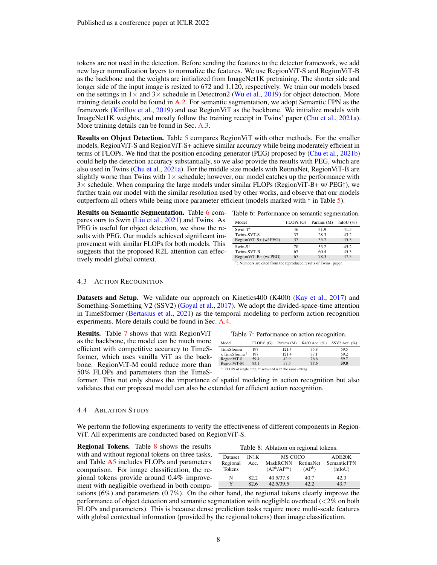tokens are not used in the detection. Before sending the features to the detector framework, we add new layer normalization layers to normalize the features. We use RegionViT-S and RegionViT-B as the backbone and the weights are initialized from ImageNet1K pretraining. The shorter side and longer side of the input image is resized to 672 and 1,120, respectively. We train our models based on the settings in  $1\times$  and  $3\times$  schedule in Detectron2 [\(Wu et al.,](#page-13-12) [2019\)](#page-13-12) for object detection. More training details could be found in [A.2.](#page-15-0) For semantic segmentation, we adopt Semantic FPN as the framework [\(Kirillov et al.,](#page-11-15) [2019\)](#page-11-15) and use RegionViT as the backbone. We initialize models with ImageNet1K weights, and mostly follow the training receipt in Twins' paper [\(Chu et al.,](#page-10-5) [2021a\)](#page-10-5). More training details can be found in Sec. [A.3.](#page-15-1)

Results on Object Detection. Table [5](#page-6-1) compares RegionViT with other methods. For the smaller models, RegionViT-S and RegionViT-S+ achieve similar accuracy while being moderately efficient in terms of FLOPs. We find that the position encoding generator (PEG) proposed by [\(Chu et al.,](#page-10-12) [2021b\)](#page-10-12) could help the detection accuracy substantially, so we also provide the results with PEG, which are also used in Twins [\(Chu et al.,](#page-10-5) [2021a\)](#page-10-5). For the middle size models with RetinaNet, RegionViT-B are slightly worse than Twins with  $1\times$  schedule; however, our model catches up the performance with  $3\times$  schedule. When comparing the large models under similar FLOPs (RegionViT-B+ w/ PEG $\dagger$ ), we further train our model with the similar resolution used by other works, and observe that our models outperform all others while being more parameter efficient (models marked with † in Table [5\)](#page-6-1).

Results on Semantic Segmentation. Table [6](#page-7-0) compares ours to Swin [\(Liu et al.,](#page-11-5) [2021\)](#page-11-5) and Twins. As PEG is useful for object detection, we show the results with PEG. Our models achieved significant improvement with similar FLOPs for both models. This suggests that the proposed R2L attention can effectively model global context.

<span id="page-7-0"></span>

|  |  |  |  | Table 6: Performance on semantic segmentation. |
|--|--|--|--|------------------------------------------------|
|--|--|--|--|------------------------------------------------|

| FLOPs(G) | Params (M) | mIoU $($ %)                |
|----------|------------|----------------------------|
| 46       | 31.9       | 41.5                       |
| 37       | 28.3       | 43.2                       |
| 37       | 35.7       | 45.3                       |
| 70       | 53.2       | 45.2                       |
| 67       | 60.4       | 45.3                       |
| 67       | 78.3       | 47.5                       |
|          | $\cdot$    | $\sim$ $-$<br>$\mathbf{H}$ |

∗ mbers are cited from the reproduced results of Twins' paper.

### 4.3 ACTION RECOGNITION

Datasets and Setup. We validate our approach on Kinetics400 (K400) [\(Kay et al.,](#page-11-16) [2017\)](#page-11-16) and Something-Something V2 (SSV2) [\(Goyal et al.,](#page-10-13) [2017\)](#page-10-13). We adopt the divided-space-time attention in TimeSformer [\(Bertasius et al.,](#page-10-14) [2021\)](#page-10-14) as the temporal modeling to perform action recognition experiments. More details could be found in Sec. [A.4.](#page-15-2)

Results. Table [7](#page-7-1) shows that with RegionViT as the backbone, the model can be much more efficient with competitive accuracy to TimeSformer, which uses vanilla ViT as the backbone. RegionViT-M could reduce more than 50% FLOPs and parameters than the TimeS-

<span id="page-7-1"></span>

|       |  | Table 7: Performance on action recognition.       |  |
|-------|--|---------------------------------------------------|--|
| Model |  | FLOPs* (G) Params (M) K400 Acc. (%) SSV2 Acc. (%) |  |

| TimeSformer    | 197  | 121.4 | 75.8 | 59.5 |
|----------------|------|-------|------|------|
| x TimeSformer† | 197  | 121.4 | 77.1 | 59.2 |
| RegionViT-S    | 59.4 | 42.9  | 76.6 | 59.7 |
| RegionViT-M    | 83.1 | 57.5  | 77.6 | 59.8 |

∗ : FLOPs of single crop, †: retrained with the same setting.

former. This not only shows the importance of spatial modeling in action recognition but also validates that our proposed model can also be extended for efficient action recognition.

#### 4.4 ABLATION STUDY

We perform the following experiments to verify the effectiveness of different components in Region-ViT. All experiments are conducted based on RegionViT-S.

Regional Tokens. Table [8](#page-7-2) shows the results with and without regional tokens on three tasks, and Table [A5](#page-17-0) includes FLOPs and parameters comparison. For image classification, the regional tokens provide around 0.4% improvement with negligible overhead in both compu-

<span id="page-7-2"></span>

| Table 8: Ablation on regional tokens. |      |                                     |                    |                    |  |  |  |
|---------------------------------------|------|-------------------------------------|--------------------|--------------------|--|--|--|
| Dataset                               | IN1K | MS COCO                             |                    | ADE20K             |  |  |  |
| Regional                              | Acc. | MaskRCNN RetinaNet                  |                    | <b>SemanticFPN</b> |  |  |  |
| <b>Tokens</b>                         |      | (AP <sup>b</sup> /AP <sup>m</sup> ) | (AP <sup>b</sup> ) | (mIoU)             |  |  |  |
| N                                     | 82.2 | 40.5/37.8                           | 40.7               | 42.3               |  |  |  |
| v                                     | 82.6 | 42.5/39.5                           | 42.2               | 437                |  |  |  |

tations (6%) and parameters (0.7%). On the other hand, the regional tokens clearly improve the performance of object detection and semantic segmentation with negligible overhead  $\langle 2\% \rangle$  on both FLOPs and parameters). This is because dense prediction tasks require more multi-scale features with global contextual information (provided by the regional tokens) than image classification.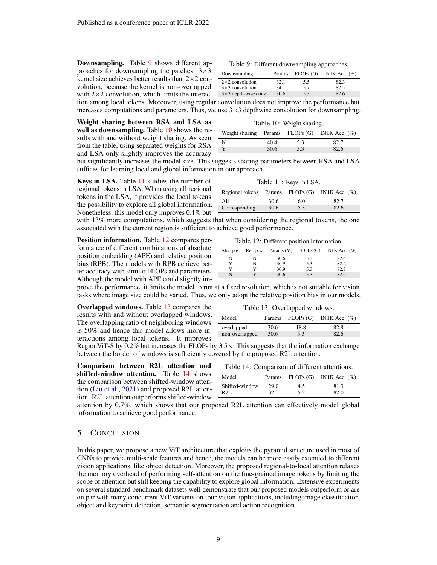Downsampling. Table [9](#page-8-0) shows different approaches for downsampling the patches.  $3\times3$ kernel size achieves better results than  $2\times 2$  convolution, because the kernel is non-overlapped with  $2\times 2$  convolution, which limits the interac-

<span id="page-8-0"></span>

| Table 9: Different downsampling approaches. |  |
|---------------------------------------------|--|
|---------------------------------------------|--|

| Downsampling                | Params |     | FLOPs $(G)$ IN1K Acc. $(\%)$ |
|-----------------------------|--------|-----|------------------------------|
| $2\times2$ convolution      | 32.1   | 5.5 | 82.3                         |
| $3\times3$ convolution      | 34.1   | 5.7 | 82.5                         |
| $3\times3$ depth-wise conv. | 30.6   | 5.3 | 82.6                         |

tion among local tokens. Moreover, using regular convolution does not improve the performance but increases computations and parameters. Thus, we use  $3\times3$  depthwise convolution for downsampling.

Weight sharing between RSA and LSA as well as downsampling. Table [10](#page-8-1) shows the results with and without weight sharing. As seen from the table, using separated weights for RSA and LSA only slightly improves the accuracy

<span id="page-8-1"></span>

| Table TO: Weight sharing. |      |     |                                                    |  |  |  |  |  |  |  |  |
|---------------------------|------|-----|----------------------------------------------------|--|--|--|--|--|--|--|--|
|                           |      |     | Weight sharing Params FLOPs $(G)$ IN1K Acc. $(\%)$ |  |  |  |  |  |  |  |  |
| N                         | 40.4 | 5.3 | 82.7                                               |  |  |  |  |  |  |  |  |
|                           | 30.6 | 5.3 | 82.6                                               |  |  |  |  |  |  |  |  |

 $T_{\rm T}$  11: 10: Weight

but significantly increases the model size. This suggests sharing parameters between RSA and LSA suffices for learning local and global information in our approach.

Keys in LSA. Table [11](#page-8-2) studies the number of regional tokens in LSA. When using all regional tokens in the LSA, it provides the local tokens the possibility to explore all global information. Nonetheless, this model only improves 0.1% but

<span id="page-8-2"></span>

| Regional tokens Params FLOPs (G) IN1K Acc. (%) |      |     |      |
|------------------------------------------------|------|-----|------|
| All                                            | 30.6 | 6.0 | 82.7 |
| Corresponding                                  | 30.6 | 5.3 | 82.6 |

with 13% more computations, which suggests that when considering the regional tokens, the one associated with the current region is sufficient to achieve good performance.

Position information. Table [12](#page-8-3) compares performance of different combinations of absolute position embedding (APE) and relative position bias (RPB). The models with RPB achieve better accuracy with similar FLOPs and parameters. Although the model with APE could slightly im-

<span id="page-8-3"></span>

| Table 12: Different position information. |   |      |     |                                                        |  |  |  |  |  |  |  |
|-------------------------------------------|---|------|-----|--------------------------------------------------------|--|--|--|--|--|--|--|
|                                           |   |      |     | Abs. pos. Rel. pos. Params (M) FLOPs (G) IN1K Acc. (%) |  |  |  |  |  |  |  |
| N                                         |   | 30.6 | 5.3 | 82.4                                                   |  |  |  |  |  |  |  |
| Y                                         | N | 30.9 | 5.3 | 82.2                                                   |  |  |  |  |  |  |  |
| Y                                         |   | 30.9 | 5.3 | 82.7                                                   |  |  |  |  |  |  |  |
| N                                         |   | 30.6 | 53  | 82.6                                                   |  |  |  |  |  |  |  |

prove the performance, it limits the model to run at a fixed resolution, which is not suitable for vision tasks where image size could be varied. Thus, we only adopt the relative position bias in our models.

Overlapped windows. Table [13](#page-8-4) compares the results with and without overlapped windows. The overlapping ratio of neighboring windows is 50% and hence this model allows more interactions among local tokens. It improves

<span id="page-8-4"></span>

| Table 13: Overlapped windows.               |      |      |      |  |  |  |  |  |  |  |
|---------------------------------------------|------|------|------|--|--|--|--|--|--|--|
| Params $FLOPs(G)$ IN1K Acc. $(\%)$<br>Model |      |      |      |  |  |  |  |  |  |  |
| overlapped                                  | 30.6 | 18.8 | 82.8 |  |  |  |  |  |  |  |
| non-overlapped                              | 30.6 | 53   | 82.6 |  |  |  |  |  |  |  |

RegionViT-S by 0.2% but increases the FLOPs by  $3.5 \times$ . This suggests that the information exchange between the border of windows is sufficiently covered by the proposed R2L attention.

Comparison between R2L attention and shifted-window attention. Table [14](#page-8-5) shows the comparison between shifted-window attention [\(Liu et al.,](#page-11-5) [2021\)](#page-11-5) and proposed R2L attention. R2L attention outperforms shifted-window

<span id="page-8-5"></span>

|  | Table 14: Comparison of different attentions. |  |  |
|--|-----------------------------------------------|--|--|
|--|-----------------------------------------------|--|--|

| Model          |      |     | Params FLOPs $(G)$ IN1K Acc. $(\%)$ |
|----------------|------|-----|-------------------------------------|
| Shifted-window | 29.0 | 4.5 | 81.3                                |
| R2L            | 32.1 | 5.2 | 82.0                                |

attention by 0.7%, which shows that our proposed R2L attention can effectively model global information to achieve good performance.

### 5 CONCLUSION

In this paper, we propose a new ViT architecture that exploits the pyramid structure used in most of CNNs to provide multi-scale features and hence, the models can be more easily extended to different vision applications, like object detection. Moreover, the proposed regional-to-local attention relaxes the memory overhead of performing self-attention on the fine-grained image tokens by limiting the scope of attention but still keeping the capability to explore global information. Extensive experiments on several standard benchmark datasets well demonstrate that our proposed models outperform or are on par with many concurrent ViT variants on four vision applications, including image classification, object and keypoint detection, semantic segmentation and action recognition.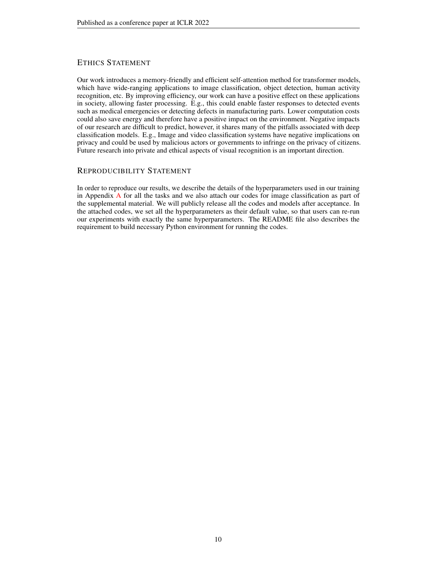# ETHICS STATEMENT

Our work introduces a memory-friendly and efficient self-attention method for transformer models, which have wide-ranging applications to image classification, object detection, human activity recognition, etc. By improving efficiency, our work can have a positive effect on these applications in society, allowing faster processing. E.g., this could enable faster responses to detected events such as medical emergencies or detecting defects in manufacturing parts. Lower computation costs could also save energy and therefore have a positive impact on the environment. Negative impacts of our research are difficult to predict, however, it shares many of the pitfalls associated with deep classification models. E.g., Image and video classification systems have negative implications on privacy and could be used by malicious actors or governments to infringe on the privacy of citizens. Future research into private and ethical aspects of visual recognition is an important direction.

# REPRODUCIBILITY STATEMENT

In order to reproduce our results, we describe the details of the hyperparameters used in our training in Appendix [A](#page-14-1) for all the tasks and we also attach our codes for image classification as part of the supplemental material. We will publicly release all the codes and models after acceptance. In the attached codes, we set all the hyperparameters as their default value, so that users can re-run our experiments with exactly the same hyperparameters. The README file also describes the requirement to build necessary Python environment for running the codes.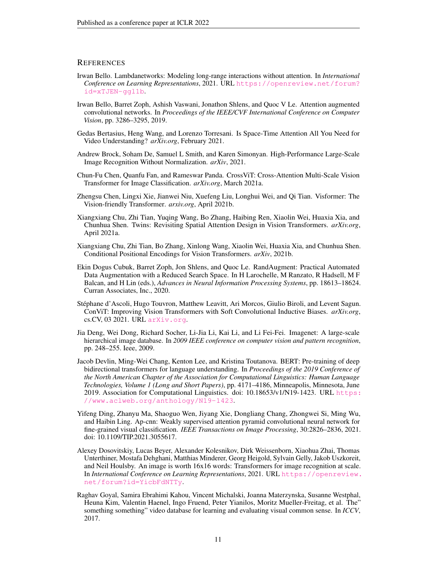### **REFERENCES**

- <span id="page-10-1"></span>Irwan Bello. Lambdanetworks: Modeling long-range interactions without attention. In *International Conference on Learning Representations*, 2021. URL [https://openreview.net/forum?](https://openreview.net/forum?id=xTJEN-ggl1b) [id=xTJEN-ggl1b](https://openreview.net/forum?id=xTJEN-ggl1b).
- <span id="page-10-2"></span>Irwan Bello, Barret Zoph, Ashish Vaswani, Jonathon Shlens, and Quoc V Le. Attention augmented convolutional networks. In *Proceedings of the IEEE/CVF International Conference on Computer Vision*, pp. 3286–3295, 2019.
- <span id="page-10-14"></span>Gedas Bertasius, Heng Wang, and Lorenzo Torresani. Is Space-Time Attention All You Need for Video Understanding? *arXiv.org*, February 2021.
- <span id="page-10-4"></span>Andrew Brock, Soham De, Samuel L Smith, and Karen Simonyan. High-Performance Large-Scale Image Recognition Without Normalization. *arXiv*, 2021.
- <span id="page-10-9"></span>Chun-Fu Chen, Quanfu Fan, and Rameswar Panda. CrossViT: Cross-Attention Multi-Scale Vision Transformer for Image Classification. *arXiv.org*, March 2021a.
- <span id="page-10-6"></span>Zhengsu Chen, Lingxi Xie, Jianwei Niu, Xuefeng Liu, Longhui Wei, and Qi Tian. Visformer: The Vision-friendly Transformer. *arxiv.org*, April 2021b.
- <span id="page-10-5"></span>Xiangxiang Chu, Zhi Tian, Yuqing Wang, Bo Zhang, Haibing Ren, Xiaolin Wei, Huaxia Xia, and Chunhua Shen. Twins: Revisiting Spatial Attention Design in Vision Transformers. *arXiv.org*, April 2021a.
- <span id="page-10-12"></span>Xiangxiang Chu, Zhi Tian, Bo Zhang, Xinlong Wang, Xiaolin Wei, Huaxia Xia, and Chunhua Shen. Conditional Positional Encodings for Vision Transformers. *arXiv*, 2021b.
- <span id="page-10-10"></span>Ekin Dogus Cubuk, Barret Zoph, Jon Shlens, and Quoc Le. RandAugment: Practical Automated Data Augmentation with a Reduced Search Space. In H Larochelle, M Ranzato, R Hadsell, M F Balcan, and H Lin (eds.), *Advances in Neural Information Processing Systems*, pp. 18613–18624. Curran Associates, Inc., 2020.
- <span id="page-10-11"></span>Stephane d'Ascoli, Hugo Touvron, Matthew Leavitt, Ari Morcos, Giulio Biroli, and Levent Sagun. ´ ConViT: Improving Vision Transformers with Soft Convolutional Inductive Biases. *arXiv.org*, cs.CV, 03 2021. URL <arXiv.org>.
- <span id="page-10-8"></span>Jia Deng, Wei Dong, Richard Socher, Li-Jia Li, Kai Li, and Li Fei-Fei. Imagenet: A large-scale hierarchical image database. In *2009 IEEE conference on computer vision and pattern recognition*, pp. 248–255. Ieee, 2009.
- <span id="page-10-0"></span>Jacob Devlin, Ming-Wei Chang, Kenton Lee, and Kristina Toutanova. BERT: Pre-training of deep bidirectional transformers for language understanding. In *Proceedings of the 2019 Conference of the North American Chapter of the Association for Computational Linguistics: Human Language Technologies, Volume 1 (Long and Short Papers)*, pp. 4171–4186, Minneapolis, Minnesota, June 2019. Association for Computational Linguistics. doi: 10.18653/v1/N19-1423. URL [https:](https://www.aclweb.org/anthology/N19-1423) [//www.aclweb.org/anthology/N19-1423](https://www.aclweb.org/anthology/N19-1423).
- <span id="page-10-7"></span>Yifeng Ding, Zhanyu Ma, Shaoguo Wen, Jiyang Xie, Dongliang Chang, Zhongwei Si, Ming Wu, and Haibin Ling. Ap-cnn: Weakly supervised attention pyramid convolutional neural network for fine-grained visual classification. *IEEE Transactions on Image Processing*, 30:2826–2836, 2021. doi: 10.1109/TIP.2021.3055617.
- <span id="page-10-3"></span>Alexey Dosovitskiy, Lucas Beyer, Alexander Kolesnikov, Dirk Weissenborn, Xiaohua Zhai, Thomas Unterthiner, Mostafa Dehghani, Matthias Minderer, Georg Heigold, Sylvain Gelly, Jakob Uszkoreit, and Neil Houlsby. An image is worth 16x16 words: Transformers for image recognition at scale. In *International Conference on Learning Representations*, 2021. URL [https://openreview.](https://openreview.net/forum?id=YicbFdNTTy) [net/forum?id=YicbFdNTTy](https://openreview.net/forum?id=YicbFdNTTy).
- <span id="page-10-13"></span>Raghav Goyal, Samira Ebrahimi Kahou, Vincent Michalski, Joanna Materzynska, Susanne Westphal, Heuna Kim, Valentin Haenel, Ingo Fruend, Peter Yianilos, Moritz Mueller-Freitag, et al. The" something something" video database for learning and evaluating visual common sense. In *ICCV*, 2017.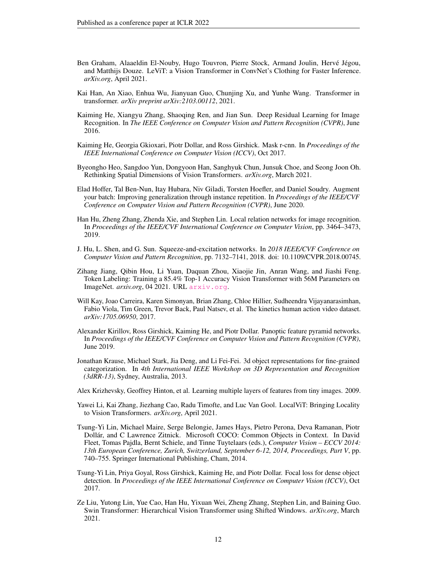- <span id="page-11-4"></span>Ben Graham, Alaaeldin El-Nouby, Hugo Touvron, Pierre Stock, Armand Joulin, Hervé Jégou, and Matthijs Douze. LeViT: a Vision Transformer in ConvNet's Clothing for Faster Inference. *arXiv.org*, April 2021.
- <span id="page-11-7"></span>Kai Han, An Xiao, Enhua Wu, Jianyuan Guo, Chunjing Xu, and Yunhe Wang. Transformer in transformer. *arXiv preprint arXiv:2103.00112*, 2021.
- <span id="page-11-1"></span>Kaiming He, Xiangyu Zhang, Shaoqing Ren, and Jian Sun. Deep Residual Learning for Image Recognition. In *The IEEE Conference on Computer Vision and Pattern Recognition (CVPR)*, June 2016.
- <span id="page-11-14"></span>Kaiming He, Georgia Gkioxari, Piotr Dollar, and Ross Girshick. Mask r-cnn. In *Proceedings of the IEEE International Conference on Computer Vision (ICCV)*, Oct 2017.
- <span id="page-11-2"></span>Byeongho Heo, Sangdoo Yun, Dongyoon Han, Sanghyuk Chun, Junsuk Choe, and Seong Joon Oh. Rethinking Spatial Dimensions of Vision Transformers. *arXiv.org*, March 2021.
- <span id="page-11-11"></span>Elad Hoffer, Tal Ben-Nun, Itay Hubara, Niv Giladi, Torsten Hoefler, and Daniel Soudry. Augment your batch: Improving generalization through instance repetition. In *Proceedings of the IEEE/CVF Conference on Computer Vision and Pattern Recognition (CVPR)*, June 2020.
- <span id="page-11-0"></span>Han Hu, Zheng Zhang, Zhenda Xie, and Stephen Lin. Local relation networks for image recognition. In *Proceedings of the IEEE/CVF International Conference on Computer Vision*, pp. 3464–3473, 2019.
- <span id="page-11-6"></span>J. Hu, L. Shen, and G. Sun. Squeeze-and-excitation networks. In *2018 IEEE/CVF Conference on Computer Vision and Pattern Recognition*, pp. 7132–7141, 2018. doi: 10.1109/CVPR.2018.00745.
- <span id="page-11-8"></span>Zihang Jiang, Qibin Hou, Li Yuan, Daquan Zhou, Xiaojie Jin, Anran Wang, and Jiashi Feng. Token Labeling: Training a 85.4% Top-1 Accuracy Vision Transformer with 56M Parameters on ImageNet. *arxiv.org*, 04 2021. URL <arxiv.org>.
- <span id="page-11-16"></span>Will Kay, Joao Carreira, Karen Simonyan, Brian Zhang, Chloe Hillier, Sudheendra Vijayanarasimhan, Fabio Viola, Tim Green, Trevor Back, Paul Natsev, et al. The kinetics human action video dataset. *arXiv:1705.06950*, 2017.
- <span id="page-11-15"></span>Alexander Kirillov, Ross Girshick, Kaiming He, and Piotr Dollar. Panoptic feature pyramid networks. In *Proceedings of the IEEE/CVF Conference on Computer Vision and Pattern Recognition (CVPR)*, June 2019.
- <span id="page-11-10"></span>Jonathan Krause, Michael Stark, Jia Deng, and Li Fei-Fei. 3d object representations for fine-grained categorization. In *4th International IEEE Workshop on 3D Representation and Recognition (3dRR-13)*, Sydney, Australia, 2013.
- <span id="page-11-9"></span>Alex Krizhevsky, Geoffrey Hinton, et al. Learning multiple layers of features from tiny images. 2009.
- <span id="page-11-3"></span>Yawei Li, Kai Zhang, Jiezhang Cao, Radu Timofte, and Luc Van Gool. LocalViT: Bringing Locality to Vision Transformers. *arXiv.org*, April 2021.
- <span id="page-11-12"></span>Tsung-Yi Lin, Michael Maire, Serge Belongie, James Hays, Pietro Perona, Deva Ramanan, Piotr Dollar, and C Lawrence Zitnick. Microsoft COCO: Common Objects in Context. In David ´ Fleet, Tomas Pajdla, Bernt Schiele, and Tinne Tuytelaars (eds.), *Computer Vision – ECCV 2014: 13th European Conference, Zurich, Switzerland, September 6-12, 2014, Proceedings, Part V*, pp. 740–755. Springer International Publishing, Cham, 2014.
- <span id="page-11-13"></span>Tsung-Yi Lin, Priya Goyal, Ross Girshick, Kaiming He, and Piotr Dollar. Focal loss for dense object detection. In *Proceedings of the IEEE International Conference on Computer Vision (ICCV)*, Oct 2017.
- <span id="page-11-5"></span>Ze Liu, Yutong Lin, Yue Cao, Han Hu, Yixuan Wei, Zheng Zhang, Stephen Lin, and Baining Guo. Swin Transformer: Hierarchical Vision Transformer using Shifted Windows. *arXiv.org*, March 2021.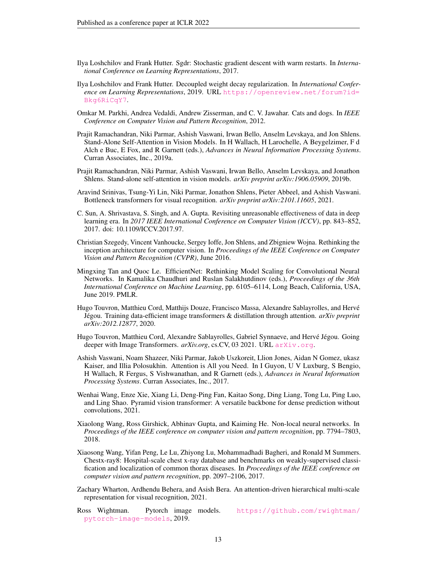- <span id="page-12-15"></span>Ilya Loshchilov and Frank Hutter. Sgdr: Stochastic gradient descent with warm restarts. In *International Conference on Learning Representations*, 2017.
- <span id="page-12-14"></span>Ilya Loshchilov and Frank Hutter. Decoupled weight decay regularization. In *International Conference on Learning Representations*, 2019. URL [https://openreview.net/forum?id=](https://openreview.net/forum?id=Bkg6RiCqY7) [Bkg6RiCqY7](https://openreview.net/forum?id=Bkg6RiCqY7).
- <span id="page-12-12"></span>Omkar M. Parkhi, Andrea Vedaldi, Andrew Zisserman, and C. V. Jawahar. Cats and dogs. In *IEEE Conference on Computer Vision and Pattern Recognition*, 2012.
- <span id="page-12-2"></span>Prajit Ramachandran, Niki Parmar, Ashish Vaswani, Irwan Bello, Anselm Levskaya, and Jon Shlens. Stand-Alone Self-Attention in Vision Models. In H Wallach, H Larochelle, A Beygelzimer, F d Alch e Buc, E Fox, and R Garnett (eds.), *Advances in Neural Information Processing Systems*. Curran Associates, Inc., 2019a.
- <span id="page-12-3"></span>Prajit Ramachandran, Niki Parmar, Ashish Vaswani, Irwan Bello, Anselm Levskaya, and Jonathon Shlens. Stand-alone self-attention in vision models. *arXiv preprint arXiv:1906.05909*, 2019b.
- <span id="page-12-1"></span>Aravind Srinivas, Tsung-Yi Lin, Niki Parmar, Jonathon Shlens, Pieter Abbeel, and Ashish Vaswani. Bottleneck transformers for visual recognition. *arXiv preprint arXiv:2101.11605*, 2021.
- <span id="page-12-8"></span>C. Sun, A. Shrivastava, S. Singh, and A. Gupta. Revisiting unreasonable effectiveness of data in deep learning era. In *2017 IEEE International Conference on Computer Vision (ICCV)*, pp. 843–852, 2017. doi: 10.1109/ICCV.2017.97.
- <span id="page-12-16"></span>Christian Szegedy, Vincent Vanhoucke, Sergey Ioffe, Jon Shlens, and Zbigniew Wojna. Rethinking the inception architecture for computer vision. In *Proceedings of the IEEE Conference on Computer Vision and Pattern Recognition (CVPR)*, June 2016.
- <span id="page-12-5"></span>Mingxing Tan and Quoc Le. EfficientNet: Rethinking Model Scaling for Convolutional Neural Networks. In Kamalika Chaudhuri and Ruslan Salakhutdinov (eds.), *Proceedings of the 36th International Conference on Machine Learning*, pp. 6105–6114, Long Beach, California, USA, June 2019. PMLR.
- <span id="page-12-9"></span>Hugo Touvron, Matthieu Cord, Matthijs Douze, Francisco Massa, Alexandre Sablayrolles, and Herve´ Jégou. Training data-efficient image transformers & distillation through attention. *arXiv preprint arXiv:2012.12877*, 2020.
- <span id="page-12-11"></span>Hugo Touvron, Matthieu Cord, Alexandre Sablayrolles, Gabriel Synnaeve, and Hervé Jégou. Going deeper with Image Transformers. <arXiv.org>, cs.CV, 03 2021. URL arXiv.org.
- <span id="page-12-0"></span>Ashish Vaswani, Noam Shazeer, Niki Parmar, Jakob Uszkoreit, Llion Jones, Aidan N Gomez, ukasz Kaiser, and Illia Polosukhin. Attention is All you Need. In I Guyon, U V Luxburg, S Bengio, H Wallach, R Fergus, S Vishwanathan, and R Garnett (eds.), *Advances in Neural Information Processing Systems*. Curran Associates, Inc., 2017.
- <span id="page-12-6"></span>Wenhai Wang, Enze Xie, Xiang Li, Deng-Ping Fan, Kaitao Song, Ding Liang, Tong Lu, Ping Luo, and Ling Shao. Pyramid vision transformer: A versatile backbone for dense prediction without convolutions, 2021.
- <span id="page-12-4"></span>Xiaolong Wang, Ross Girshick, Abhinav Gupta, and Kaiming He. Non-local neural networks. In *Proceedings of the IEEE conference on computer vision and pattern recognition*, pp. 7794–7803, 2018.
- <span id="page-12-13"></span>Xiaosong Wang, Yifan Peng, Le Lu, Zhiyong Lu, Mohammadhadi Bagheri, and Ronald M Summers. Chestx-ray8: Hospital-scale chest x-ray database and benchmarks on weakly-supervised classification and localization of common thorax diseases. In *Proceedings of the IEEE conference on computer vision and pattern recognition*, pp. 2097–2106, 2017.
- <span id="page-12-7"></span>Zachary Wharton, Ardhendu Behera, and Asish Bera. An attention-driven hierarchical multi-scale representation for visual recognition, 2021.
- <span id="page-12-10"></span>Ross Wightman. Pytorch image models. [https://github.com/rwightman/](https://github.com/rwightman/pytorch-image-models) [pytorch-image-models](https://github.com/rwightman/pytorch-image-models), 2019.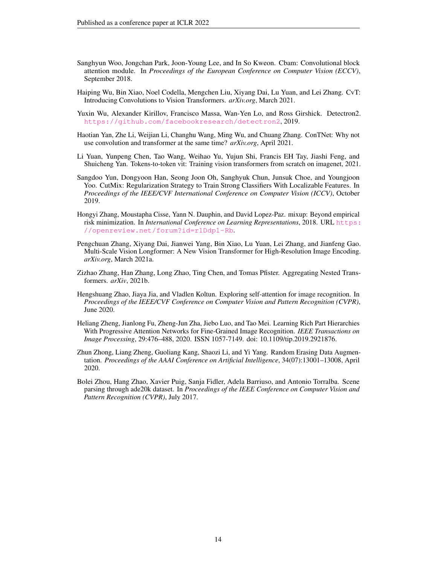- <span id="page-13-4"></span>Sanghyun Woo, Jongchan Park, Joon-Young Lee, and In So Kweon. Cbam: Convolutional block attention module. In *Proceedings of the European Conference on Computer Vision (ECCV)*, September 2018.
- <span id="page-13-1"></span>Haiping Wu, Bin Xiao, Noel Codella, Mengchen Liu, Xiyang Dai, Lu Yuan, and Lei Zhang. CvT: Introducing Convolutions to Vision Transformers. *arXiv.org*, March 2021.
- <span id="page-13-12"></span>Yuxin Wu, Alexander Kirillov, Francisco Massa, Wan-Yen Lo, and Ross Girshick. Detectron2. <https://github.com/facebookresearch/detectron2>, 2019.
- <span id="page-13-3"></span>Haotian Yan, Zhe Li, Weijian Li, Changhu Wang, Ming Wu, and Chuang Zhang. ConTNet: Why not use convolution and transformer at the same time? *arXiv.org*, April 2021.
- <span id="page-13-6"></span>Li Yuan, Yunpeng Chen, Tao Wang, Weihao Yu, Yujun Shi, Francis EH Tay, Jiashi Feng, and Shuicheng Yan. Tokens-to-token vit: Training vision transformers from scratch on imagenet, 2021.
- <span id="page-13-7"></span>Sangdoo Yun, Dongyoon Han, Seong Joon Oh, Sanghyuk Chun, Junsuk Choe, and Youngjoon Yoo. CutMix: Regularization Strategy to Train Strong Classifiers With Localizable Features. In *Proceedings of the IEEE/CVF International Conference on Computer Vision (ICCV)*, October 2019.
- <span id="page-13-8"></span>Hongyi Zhang, Moustapha Cisse, Yann N. Dauphin, and David Lopez-Paz. mixup: Beyond empirical risk minimization. In *International Conference on Learning Representations*, 2018. URL [https:](https://openreview.net/forum?id=r1Ddp1-Rb) [//openreview.net/forum?id=r1Ddp1-Rb](https://openreview.net/forum?id=r1Ddp1-Rb).
- <span id="page-13-2"></span>Pengchuan Zhang, Xiyang Dai, Jianwei Yang, Bin Xiao, Lu Yuan, Lei Zhang, and Jianfeng Gao. Multi-Scale Vision Longformer: A New Vision Transformer for High-Resolution Image Encoding. *arXiv.org*, March 2021a.
- <span id="page-13-10"></span>Zizhao Zhang, Han Zhang, Long Zhao, Ting Chen, and Tomas Pfister. Aggregating Nested Transformers. *arXiv*, 2021b.
- <span id="page-13-0"></span>Hengshuang Zhao, Jiaya Jia, and Vladlen Koltun. Exploring self-attention for image recognition. In *Proceedings of the IEEE/CVF Conference on Computer Vision and Pattern Recognition (CVPR)*, June 2020.
- <span id="page-13-5"></span>Heliang Zheng, Jianlong Fu, Zheng-Jun Zha, Jiebo Luo, and Tao Mei. Learning Rich Part Hierarchies With Progressive Attention Networks for Fine-Grained Image Recognition. *IEEE Transactions on Image Processing*, 29:476–488, 2020. ISSN 1057-7149. doi: 10.1109/tip.2019.2921876.
- <span id="page-13-9"></span>Zhun Zhong, Liang Zheng, Guoliang Kang, Shaozi Li, and Yi Yang. Random Erasing Data Augmentation. *Proceedings of the AAAI Conference on Artificial Intelligence*, 34(07):13001–13008, April 2020.
- <span id="page-13-11"></span>Bolei Zhou, Hang Zhao, Xavier Puig, Sanja Fidler, Adela Barriuso, and Antonio Torralba. Scene parsing through ade20k dataset. In *Proceedings of the IEEE Conference on Computer Vision and Pattern Recognition (CVPR)*, July 2017.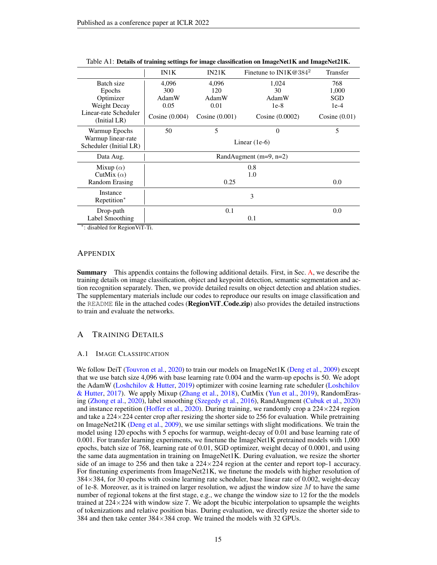|                                       | <b>IN1K</b>      | IN21K            | Finetune to IN1K@384 <sup>2</sup> | Transfer        |
|---------------------------------------|------------------|------------------|-----------------------------------|-----------------|
| Batch size                            | 4,096            | 4,096            | 1,024                             | 768             |
| Epochs                                | 300              | 120              | 30                                | 1,000           |
| Optimizer                             | AdamW            | AdamW            | AdamW                             | SGD             |
| Weight Decay                          | 0.05             | 0.01             | $1e-8$                            | $1e-4$          |
| Linear-rate Scheduler<br>(Initial LR) | Cosine $(0.004)$ | Cosine $(0.001)$ | Cosine (0.0002)                   | Cosine $(0.01)$ |
| Warmup Epochs                         | 50               | 5                | $\theta$                          | 5               |
| Warmup linear-rate                    |                  |                  | Linear $(1e-6)$                   |                 |
| Scheduler (Initial LR)                |                  |                  |                                   |                 |
| Data Aug.                             |                  |                  | RandAugment $(m=9, n=2)$          |                 |
| Mixup $(\alpha)$                      |                  |                  | 0.8                               |                 |
| CutMix $(\alpha)$                     |                  |                  | 1.0                               |                 |
| Random Erasing                        |                  | 0.25             |                                   | 0.0             |
| Instance                              |                  |                  | 3                                 |                 |
| Repetition*                           |                  |                  |                                   |                 |
| Drop-path                             |                  | 0.1              |                                   | 0.0             |
| Label Smoothing                       |                  |                  | 0.1                               |                 |
|                                       |                  |                  |                                   |                 |

Table A1: Details of training settings for image classification on ImageNet1K and ImageNet21K.

∗ : disabled for RegionViT-Ti.

#### APPENDIX

Summary This appendix contains the following additional details. First, in Sec. [A,](#page-14-1) we describe the training details on image classification, object and keypoint detection, semantic segmentation and action recognition separately. Then, we provide detailed results on object detection and ablation studies. The supplementary materials include our codes to reproduce our results on image classification and the README file in the attached codes (**RegionViT\_Code.zip**) also provides the detailed instructions to train and evaluate the networks.

# <span id="page-14-1"></span>A TRAINING DETAILS

### <span id="page-14-0"></span>A.1 IMAGE CLASSIFICATION

We follow DeiT [\(Touvron et al.,](#page-12-9) [2020\)](#page-12-9) to train our models on ImageNet1K [\(Deng et al.,](#page-10-8) [2009\)](#page-10-8) except that we use batch size 4,096 with base learning rate 0.004 and the warm-up epochs is 50. We adopt the AdamW [\(Loshchilov & Hutter,](#page-12-14) [2019\)](#page-12-14) optimizer with cosine learning rate scheduler [\(Loshchilov](#page-12-15) [& Hutter,](#page-12-15) [2017\)](#page-12-15). We apply Mixup [\(Zhang et al.,](#page-13-8) [2018\)](#page-13-8), CutMix [\(Yun et al.,](#page-13-7) [2019\)](#page-13-7), RandomErasing [\(Zhong et al.,](#page-13-9) [2020\)](#page-13-9), label smoothing [\(Szegedy et al.,](#page-12-16) [2016\)](#page-12-16), RandAugment [\(Cubuk et al.,](#page-10-10) [2020\)](#page-10-10) and instance repetition [\(Hoffer et al.,](#page-11-11) [2020\)](#page-11-11). During training, we randomly crop a  $224 \times 224$  region and take a  $224 \times 224$  center crop after resizing the shorter side to 256 for evaluation. While pretraining on ImageNet21K [\(Deng et al.,](#page-10-8) [2009\)](#page-10-8), we use similar settings with slight modifications. We train the model using 120 epochs with 5 epochs for warmup, weight-decay of 0.01 and base learning rate of 0.001. For transfer learning experiments, we finetune the ImageNet1K pretrained models with 1,000 epochs, batch size of 768, learning rate of 0.01, SGD optimizer, weight decay of 0.0001, and using the same data augmentation in training on ImageNet1K. During evaluation, we resize the shorter side of an image to 256 and then take a  $224 \times 224$  region at the center and report top-1 accuracy. For finetuning experiments from ImageNet21K, we finetune the models with higher resolution of 384×384, for 30 epochs with cosine learning rate scheduler, base linear rate of 0.002, weight-decay of 1e-8. Moreover, as it is trained on larger resolution, we adjust the window size  $M$  to have the same number of regional tokens at the first stage, e.g., we change the window size to 12 for the the models trained at  $224 \times 224$  with window size 7. We adopt the bicubic interpolation to upsample the weights of tokenizations and relative position bias. During evaluation, we directly resize the shorter side to 384 and then take center 384×384 crop. We trained the models with 32 GPUs.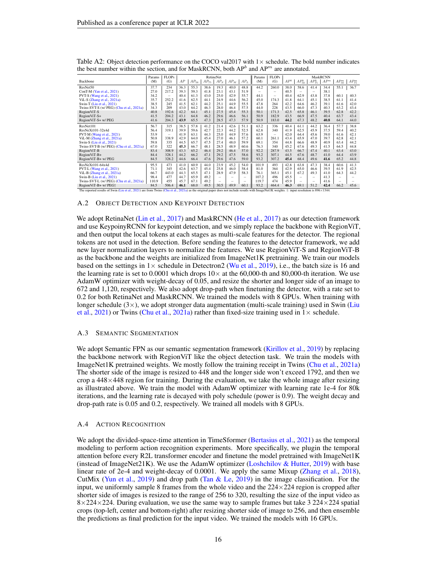|                                                                                                                                                                                                      | Params | <b>FLOPs</b>             |      |           |           | RetineNet |        |                 | Params                   | FLOPs |                 |                          |                          | MaskRCNN |               |             |
|------------------------------------------------------------------------------------------------------------------------------------------------------------------------------------------------------|--------|--------------------------|------|-----------|-----------|-----------|--------|-----------------|--------------------------|-------|-----------------|--------------------------|--------------------------|----------|---------------|-------------|
| Backbone                                                                                                                                                                                             | (M)    | (G)                      | AP   | $AP_{50}$ | $AP_{75}$ | $AP_S$    | $AP_M$ | AP <sub>L</sub> | (M)                      | (G)   | AP <sup>b</sup> | $AP_{50}^b$              | $AP_{75}^b$              | $AP^m$   | $AP_{50}^{m}$ | $AP_{75}^m$ |
| ResNet50                                                                                                                                                                                             | 37.7   | 234                      | 36.3 | 55.3      | 38.6      | 19.3      | 40.0   | 48.8            | 44.2                     | 260.0 | 38.0            | 58.6                     | 41.4                     | 34.4     | 55.1          | 36.7        |
| ConT-M (Yan et al., 2021)                                                                                                                                                                            | 27.0   | 217.2                    | 39.3 | 59.3      | 41.8      | 23.1      | 43.1   | 51.9            | $\overline{\phantom{0}}$ | -     | 40.5            | $\overline{\phantom{0}}$ | -                        | 38.1     |               |             |
| PVT-S (Wang et al., 2021)                                                                                                                                                                            | 34.2   | $\overline{\phantom{0}}$ | 40.4 | 61.3      | 43.0      | 25.0      | 42.9   | 55.7            | 44.1                     | -     | 40.4            | 62.9                     | 43.8                     | 37.8     | 60.1          | 40.3        |
| ViL-S (Zhang et al., 2021a)                                                                                                                                                                          | 35.7   | 252.2                    | 41.6 | 62.5      | 44.1      | 24.9      | 44.6   | 56.2            | 45.0                     | 174.3 | 41.8            | 64.1                     | 45.1                     | 38.5     | 61.1          | 41.4        |
| Swin-T (Liu et al., 2021)                                                                                                                                                                            | 38.5   | 245                      | 41.5 | 62.1      | 44.2      | 25.1      | 44.9   | 55.5            | 47.8                     | 264   | 42.2            | 64.6                     | 46.2                     | 39.1     | 61.6          | 42.0        |
| Twins-SVT-S (w/ PEG) (Chu et al., 2021a)                                                                                                                                                             | 34.3   | 209                      | 43.0 | 64.2      | 46.3      | 28.0      | 46.4   | 57.5            | 44.0                     | 228   | 43.5            | 66.0                     | 47.3                     | 40.3     | 63.2          | 43.4        |
| RegionViT-S                                                                                                                                                                                          | 40.8   | 192.6                    | 42.2 | 64.1      | 45.1      | 27.5      | 45.4   | 55.3            | 50.1                     | 171.3 | 42.5            | 65.8                     | 46.1                     | 39.5     | 62.8          | 42.2        |
| RegionViT-S+                                                                                                                                                                                         | 41.5   | 204.2                    | 43.1 | 64.8      | 46.2      | 29.6      | 46.6   | 56.1            | 50.9                     | 182.9 | 43.5            | 66.9                     | 47.5                     | 40.4     | 63.7          | 43.4        |
| RegionViT-S+ w/ PEG                                                                                                                                                                                  | 41.6   | 204.3                    | 43.9 | 65.5      | 47.3      | 28.5      | 47.3   | 57.9            | 50.9                     | 183.0 | 44.2            | 67.3                     | 48.2                     | 40.8     | 64.1          | 44.0        |
| ResNet101                                                                                                                                                                                            | 56.7   | 315                      | 38.5 | 57.8      | 41.2      | 21.4      | 42.6   | 51.1            | 63.2                     | 336   | 40.4            | 61.1                     | 44.2                     | 36.4     | 57.7          | 38.8        |
| $ResNeXt101-32x4d$                                                                                                                                                                                   | 56.4   | 319.1                    | 39.9 | 59.6      | 42.7      | 22.3      | 44.2   | 52.5            | 62.8                     | 340   | 41.9            | 62.5                     | 45.9                     | 37.5     | 59.4          | 40.2        |
| PVT-M (Wang et al., 2021)                                                                                                                                                                            | 53.9   | -                        | 41.9 | 63.1      | 44.3      | 25.0      | 44.9   | 57.6            | 63.9                     | -     | 42.0            | 64.4                     | 45.6                     | 39.0     | 61.6          | 42.1        |
| ViL-M (Zhang et al., 2021a)                                                                                                                                                                          | 50.8   | 338.9                    | 42.9 | 64.0      | 45.4      | 27.0      | 46.1   | 57.2            | 60.1                     | 261.1 | 43.4            | 65.9                     | 47.0                     | 39.7     | 62.8          | 42.1        |
| Swin-S (Liu et al., 2021)                                                                                                                                                                            | 59.8   | 335                      | 44.5 | 65.7      | 47.5      | 27.4      | 48.0   | 59.9            | 69.1                     | 354   | 44.8            | 66.6                     | 48.9                     | 40.9     | 63.4          | 44.2        |
| Twins-SVT-B (w/ PEG) (Chu et al., 2021a)                                                                                                                                                             | 67.0   | 322                      | 45.3 | 66.7      | 48.1      | 28.5      | 48.9   | 60.6            | 76.3                     | 340   | 45.2            | 67.6                     | 49.3                     | 41.5     | 64.5          | 44.8        |
| RegionViT-B                                                                                                                                                                                          | 83.4   | 308.9                    | 43.3 | 65.2      | 46.4      | 29.2      | 46.4   | 57.0            | 92.2                     | 287.9 | 43.5            | 66.7                     | 47.4                     | 40.1     | 63.4          | 43.0        |
| RegionViT-B+                                                                                                                                                                                         | 84.4   | 328.1                    | 44.2 | 66.2      | 47.1      | 29.2      | 47.5   | 58.6            | 93.2                     | 307.1 | 44.5            | 67.6                     | 48.7                     | 41.0     | 64.4          | 43.9        |
| RegionViT-B+ w/ PEG                                                                                                                                                                                  | 84.5   | 328.2                    | 44.6 | 66.4      | 47.6      | 29.6      | 47.6   | 59.0            | 93.2                     | 307.2 | 45.4            | 68.4                     | 49.6                     | 41.6     | 65.2          | 44.8        |
| ResNeXt101-64x4d                                                                                                                                                                                     | 95.5   | 473                      | 41.0 | 60.9      | 44.0      | 23.9      | 45.2   | 54.0            | 101.9                    | 493   | 42.8            | 63.8                     | 47.3                     | 38.4     | 60.6          | 41.3        |
| PVT-L (Wang et al., 2021)                                                                                                                                                                            | 71.1   | 345                      | 42.6 | 63.7      | 45.4      | 25.8      | 46.0   | 58.4            | 81.0                     | 364   | 42.9            | 65.0                     | 46.6                     | 39.5     | 61.9          | 42.5        |
| ViL-B (Zhang et al., 2021a)                                                                                                                                                                          | 66.7   | 443.0                    | 44.3 | 65.5      | 47.1      | 28.9      | 47.9   | 58.3            | 76.1                     | 365.1 | 45.1            | 67.2                     | 49.3                     | 41.0     | 64.3          | 44.2        |
| Swin-B (Liu et al., 2021)                                                                                                                                                                            | 98.4   | 477                      | 44.7 | 65.9      | 49.2      | -         | -      | -               | 107.2                    | 496   | 45.5            | -                        | $\overline{\phantom{a}}$ | 41.3     | -             |             |
| Twins-SVT-L (w/ PEG) (Chu et al., 2021a)                                                                                                                                                             | 110.9  | 455                      | 45.7 | 67.1      | 49.2      | -         | -      | -               | 119.7                    | 474   | 45.9            | -                        | -                        | 41.6     |               |             |
| RegionViT-B+ w/ PEG+                                                                                                                                                                                 | 84.5   | 506.4                    | 46.1 | 68.0      | 49.5      | 30.5      | 49.9   | 60.1            | 93.2                     | 464.4 | 46.3            | 69.1                     | 51.2                     | 42.4     | 66.2          | 45.6        |
| The reported results of Swin (Liu et al., 2021) are from Twins (Chu et al., 2021a) as the original paper does not include results with ImageNet1K weights. $\dagger$ : input resolution is 896×1344. |        |                          |      |           |           |           |        |                 |                          |       |                 |                          |                          |          |               |             |

<span id="page-15-3"></span>Table A2: Object detection performance on the COCO val2017 with  $1\times$  schedule. The bold number indicates the best number within the section, and for MaskRCNN, both  $AP<sup>b</sup>$  and  $AP<sup>m</sup>$  are annotated.

### <span id="page-15-0"></span>A.2 OBJECT DETECTION AND KEYPOINT DETECTION

We adopt RetinaNet [\(Lin et al.,](#page-11-13) [2017\)](#page-11-14) and MaskRCNN [\(He et al.,](#page-11-14) 2017) as our detection framework and use KeypoinyRCNN for keypoint detection, and we simply replace the backbone with RegionViT, and then output the local tokens at each stages as multi-scale features for the detector. The regional tokens are not used in the detection. Before sending the features to the detector framework, we add new layer normalization layers to normalize the features. We use RegionViT-S and RegionViT-B as the backbone and the weights are initialized from ImageNet1K pretraining. We train our models based on the settings in  $1\times$  schedule in Detectron2 [\(Wu et al.,](#page-13-12) [2019\)](#page-13-12), i.e., the batch size is 16 and the learning rate is set to 0.0001 which drops  $10\times$  at the 60,000-th and 80,000-th iteration. We use AdamW optimizer with weight-decay of 0.05, and resize the shorter and longer side of an image to 672 and 1,120, respectively. We also adopt drop-path when finetuning the detector, with a rate set to 0.2 for both RetinaNet and MaskRCNN. We trained the models with 8 GPUs. When training with longer schedule  $(3\times)$ , we adopt stronger data augmentation (multi-scale training) used in Swin [\(Liu](#page-11-5) [et al.,](#page-11-5) [2021\)](#page-11-5) or Twins [\(Chu et al.,](#page-10-5) [2021a\)](#page-10-5) rather than fixed-size training used in  $1 \times$  schedule.

#### <span id="page-15-1"></span>A.3 SEMANTIC SEGMENTATION

We adopt Semantic FPN as our semantic segmentation framework [\(Kirillov et al.,](#page-11-15) [2019\)](#page-11-15) by replacing the backbone network with RegionViT like the object detection task. We train the models with ImageNet1K pretrained weights. We mostly follow the training receipt in Twins [\(Chu et al.,](#page-10-5) [2021a\)](#page-10-5) The shorter side of the image is resized to 448 and the longer side won't exceed 1792, and then we crop a  $448\times448$  region for training. During the evaluation, we take the whole image after resizing as illustrated above. We train the model with AdamW optimizer with learning rate 1e-4 for 80k iterations, and the learning rate is decayed with poly schedule (power is 0.9). The weight decay and drop-path rate is 0.05 and 0.2, respectively. We trained all models with 8 GPUs.

#### <span id="page-15-2"></span>A.4 ACTION RECOGNITION

We adopt the divided-space-time attention in TimeSformer [\(Bertasius et al.,](#page-10-14) [2021\)](#page-10-14) as the temporal modeling to perform action recognition experiments. More specifically, we plugin the temporal attention before every R2L transformer encoder and finetune the model pretrained with ImageNet1K (instead of ImageNet21K). We use the AdamW optimizer [\(Loshchilov & Hutter,](#page-12-14) [2019\)](#page-12-14) with base linear rate of 2e-4 and weight-decay of 0.0001. We apply the same Mixup [\(Zhang et al.,](#page-13-8) [2018\)](#page-13-8), CutMix [\(Yun et al.,](#page-13-7) [2019\)](#page-12-5) and drop path [\(Tan & Le,](#page-12-5) 2019) in the image classification. For the input, we uniformly sample 8 frames from the whole video and the  $224 \times 224$  region is cropped after shorter side of images is resized to the range of 256 to 320, resulting the size of the input video as  $8\times224\times224$ . During evaluation, we use the same way to sample frames but take 3 224 $\times$ 224 spatial crops (top-left, center and bottom-right) after resizing shorter side of image to 256, and then ensemble the predictions as final prediction for the input video. We trained the models with 16 GPUs.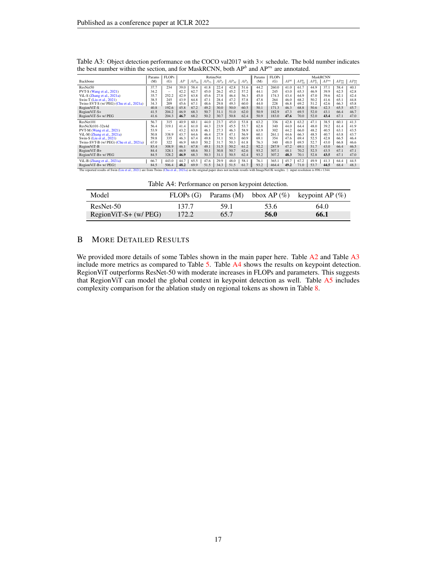|                                                                                                                                                                                                              | Params | <b>FLOPs</b> |      |           |           | RetineNet |        |        | Params | <b>FLOPs</b> |                 |             |             | <b>MaskRCNN</b> |               |             |
|--------------------------------------------------------------------------------------------------------------------------------------------------------------------------------------------------------------|--------|--------------|------|-----------|-----------|-----------|--------|--------|--------|--------------|-----------------|-------------|-------------|-----------------|---------------|-------------|
| Backbone                                                                                                                                                                                                     | (M)    | (G)          | AP   | $AP_{50}$ | $AP_{75}$ | $AP_S$    | $AP_M$ | $AP_L$ | (M)    | (G)          | AP <sup>b</sup> | $AP_{50}^b$ | $AP_{75}^b$ | $AP^m$          | $AP_{50}^{m}$ | $AP_{75}^m$ |
| ResNet50                                                                                                                                                                                                     | 37.7   | 234          | 39.0 | 58.4      | 41.8      | 22.4      | 42.8   | 51.6   | 44.2   | 260.0        | 41.0            | 61.7        | 44.9        | 37.1            | 58.4          | 40.1        |
| PVT-S (Wang et al., 2021)                                                                                                                                                                                    | 34.2   | -            | 42.2 | 62.7      | 45.0      | 26.2      | 45.2   | 57.2   | 44.1   | 245          | 43.0            | 65.3        | 46.9        | 39.9            | 62.5          | 42.8        |
| ViL-S (Zhang et al., 2021a)                                                                                                                                                                                  | 35.7   | 252.2        | 42.9 | 63.8      | 45.6      | 27.8      | 46.4   | 56.3   | 45.0   | 174.3        | 43.4            | 64.9        | 47.0        | 39.6            | 62.1          | 42.4        |
| Swin-T (Liu et al., 2021)                                                                                                                                                                                    | 38.5   | 245          | 43.9 | 64.8      | 47.1      | 28.4      | 47.2   | 57.8   | 47.8   | 264          | 46.0            | 68.2        | 50.2        | 41.6            | 65.1          | 44.8        |
| Twins-SVT-S (w/ PEG) (Chu et al., 2021a)                                                                                                                                                                     | 34.3   | 209          | 45.6 | 67.1      | 48.6      | 29.8      | 49.3   | 60.0   | 44.0   | 228          | 46.8            | 69.2        | 51.2        | 42.6            | 66.3          | 45.8        |
| RegionViT-S                                                                                                                                                                                                  | 40.8   | 192.6        | 45.8 | 67.2      | 49.2      | 30.0      | 50.0   | 60.5   | 50.1   | 171.3        | 46.3            | 68.8        | 50.6        | 42.3            | 65.5          | 45.7        |
| $RegionViT-S+$                                                                                                                                                                                               | 41.5   | 204.2        | 46.9 | 68.3      | 50.7      | 31.1      | 51.0   | 62.0   | 50.9   | 182.9        | 47.3            | 69.5        | 52.0        | 43.1            | 66.4          | 46.7        |
| RegionViT-S+ w/ PEG                                                                                                                                                                                          | 41.6   | 204.3        | 46.7 | 68.2      | 50.2      | 30.7      | 50.8   | 62.4   | 50.9   | 183.0        | 47.6            | 70.0        | 52.0        | 43.4            | 67.1          | 47.0        |
| ResNet101                                                                                                                                                                                                    | 56.7   | 315          | 40.9 | 60.1      | 44.0      | 23.7      | 45.0   | 53.8   | 63.2   | 336          | 42.8            | 63.2        | 47.1        | 38.5            | 60.1          | 41.3        |
| $ResNeXt101-32x4d$                                                                                                                                                                                           | 56.4   | 319.1        | 41.4 | 61.0      | 44.3      | 23.9      | 45.5   | 53.7   | 62.8   | 340          | 44.0            | 64.4        | 48.0        | 39.2            | 61.4          | 41.9        |
| PVT-M (Wang et al., 2021)                                                                                                                                                                                    | 53.9   | -            | 43.2 | 63.8      | 46.1      | 27.3      | 46.3   | 58.9   | 63.9   | 302          | 44.2            | 66.0        | 48.2        | 40.5            | 63.1          | 43.5        |
| ViL-M (Zhang et al., 2021a)                                                                                                                                                                                  | 50.8   | 338.9        | 43.7 | 64.6      | 46.4      | 27.9      | 47.1   | 56.9   | 60.1   | 261.1        | 44.6            | 66.3        | 48.5        | 40.7            | 63.8          | 43.7        |
| Swin-S (Liu et al., 2021)                                                                                                                                                                                    | 59.8   | 335          | 46.3 | 67.4      | 49.8      | 31.1      | 50.3   | 60.9   | 69.1   | 354          | 47.6            | 69.4        | 52.5        | 42.8            | 66.5          | 46.4        |
| Twins-SVT-B (w/ PEG) (Chu et al., 2021a)                                                                                                                                                                     | 67.0   | 322          | 46.9 | 68.0      | 50.2      | 31.7      | 50.3   | 61.8   | 76.3   | 340          | 48.0            | 69.5        | 52.7        | 43.0            | 66.8          | 46.6        |
| RegionViT-B                                                                                                                                                                                                  | 83.4   | 308.9        | 46.1 | 67.8      | 49.1      | 31.5      | 50.2   | 61.2   | 92.2   | 287.9        | 47.2            | 69.1        | 51.7        | 43.0            | 66.4          | 46.5        |
| $RegionViT-B+$                                                                                                                                                                                               | 84.4   | 328.1        | 46.9 | 68.6      | 50.1      | 30.8      | 50.7   | 62.6   | 93.2   | 307.1        | 48.1            | 70.2        | 52.5        | 43.5            | 67.1          | 47.1        |
| RegionViT-B+ w/ PEG                                                                                                                                                                                          | 84.5   | 328.2        | 46.9 | 68.3      | 50.3      | 31.1      | 50.5   | 62.4   | 93.2   | 307.2        | 48.3            | 70.1        | 52.8        | 43.5            | 67.1          | 47.0        |
| ViL-B (Zhang et al., 2021a)                                                                                                                                                                                  | 66.7   | 443.0        | 44.7 | 65.5      | 47.6      | 29.9      | 48.0   | 58.1   | 76.1   | 365.1        | 45.7            | 67.2        | 49.9        | 41.3            | 64.4          | 44.5        |
| RegionViT-B+ w/ PEG†                                                                                                                                                                                         | 84.5   | 506.4        | 48.2 | 69.9      | 51.5      | 34.3      | 51.5   | 61.7   | 93.2   | 464.4        | 49.2            | 71.0        | 53.7        | 44.5            | 68.4          | 48.3        |
| The reported results of Swin (Liu et al., 2021) are from Twins (Chu et al., 2021a) as the original paper does not include results with ImageNet1K weights. $\ddot{\uparrow}$ : input resolution is 896×1344. |        |              |      |           |           |           |        |        |        |              |                 |             |             |                 |               |             |

<span id="page-16-1"></span>Table A3: Object detection performance on the COCO val2017 with  $3\times$  schedule. The bold number indicates the best number within the section, and for MaskRCNN, both  $AP<sup>b</sup>$  and  $AP<sup>m</sup>$  are annotated.

Table A4: Performance on person keypoint detection.

<span id="page-16-2"></span>

| Model                 | FLOPs(G) | Params (M) |      | bbox AP $(\%)$ keypoint AP $(\%)$ |
|-----------------------|----------|------------|------|-----------------------------------|
| $ResNet-50$           | 137.7    | 59.1       | 53.6 | 64.0                              |
| $RegionViT-S+(w/PEG)$ | 172.2    | 65.7       | 56.0 | 66.1                              |

# <span id="page-16-0"></span>B MORE DETAILED RESULTS

We provided more details of some Tables shown in the main paper here. Table [A2](#page-15-3) and Table [A3](#page-16-1) include more metrics as compared to Table [5.](#page-6-1) Table [A4](#page-16-2) shows the results on keypoint detection. RegionViT outperforms ResNet-50 with moderate increases in FLOPs and parameters. This suggests that RegionViT can model the global context in keypoint detection as well. Table [A5](#page-17-0) includes complexity comparison for the ablation study on regional tokens as shown in Table [8.](#page-7-2)